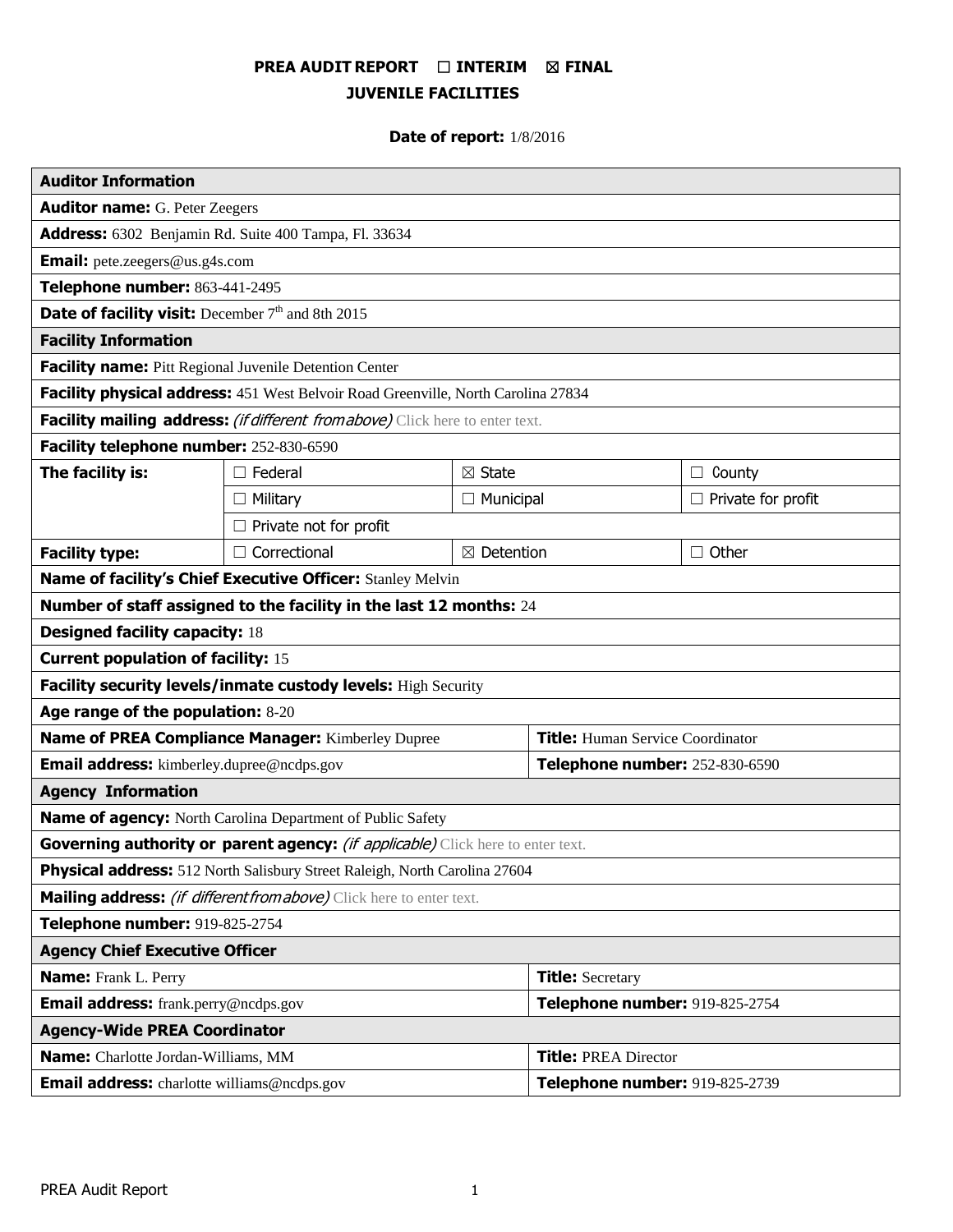# **PREA AUDIT REPORT** ☐ **INTERIM** ☒ **FINAL JUVENILE FACILITIES**

# **Date of report:** 1/8/2016

| <b>Auditor Information</b>                                                        |                     |                       |                                         |                           |
|-----------------------------------------------------------------------------------|---------------------|-----------------------|-----------------------------------------|---------------------------|
| <b>Auditor name:</b> G. Peter Zeegers                                             |                     |                       |                                         |                           |
| Address: 6302 Benjamin Rd. Suite 400 Tampa, Fl. 33634                             |                     |                       |                                         |                           |
| <b>Email:</b> pete.zeegers@us.g4s.com                                             |                     |                       |                                         |                           |
| Telephone number: 863-441-2495                                                    |                     |                       |                                         |                           |
| Date of facility visit: December 7th and 8th 2015                                 |                     |                       |                                         |                           |
| <b>Facility Information</b>                                                       |                     |                       |                                         |                           |
| Facility name: Pitt Regional Juvenile Detention Center                            |                     |                       |                                         |                           |
| Facility physical address: 451 West Belvoir Road Greenville, North Carolina 27834 |                     |                       |                                         |                           |
| Facility mailing address: (if different from above) Click here to enter text.     |                     |                       |                                         |                           |
| Facility telephone number: 252-830-6590                                           |                     |                       |                                         |                           |
| The facility is:                                                                  | $\Box$ Federal      | $\boxtimes$ State     |                                         | $\Box$ County             |
|                                                                                   | $\Box$ Military     | $\Box$ Municipal      |                                         | $\Box$ Private for profit |
| $\Box$ Private not for profit                                                     |                     |                       |                                         |                           |
| <b>Facility type:</b>                                                             | $\Box$ Correctional | $\boxtimes$ Detention |                                         | $\Box$ Other              |
| Name of facility's Chief Executive Officer: Stanley Melvin                        |                     |                       |                                         |                           |
| Number of staff assigned to the facility in the last 12 months: 24                |                     |                       |                                         |                           |
| <b>Designed facility capacity: 18</b>                                             |                     |                       |                                         |                           |
| <b>Current population of facility: 15</b>                                         |                     |                       |                                         |                           |
| Facility security levels/inmate custody levels: High Security                     |                     |                       |                                         |                           |
| Age range of the population: 8-20                                                 |                     |                       |                                         |                           |
| Name of PREA Compliance Manager: Kimberley Dupree                                 |                     |                       | <b>Title:</b> Human Service Coordinator |                           |
| <b>Email address:</b> kimberley.dupree@ncdps.gov                                  |                     |                       | Telephone number: 252-830-6590          |                           |
| <b>Agency Information</b>                                                         |                     |                       |                                         |                           |
| <b>Name of agency:</b> North Carolina Department of Public Safety                 |                     |                       |                                         |                           |
| Governing authority or parent agency: (if applicable) Click here to enter text.   |                     |                       |                                         |                           |
| Physical address: 512 North Salisbury Street Raleigh, North Carolina 27604        |                     |                       |                                         |                           |
| <b>Mailing address:</b> (if different from above) Click here to enter text.       |                     |                       |                                         |                           |
| Telephone number: 919-825-2754                                                    |                     |                       |                                         |                           |
| <b>Agency Chief Executive Officer</b>                                             |                     |                       |                                         |                           |
| <b>Name:</b> Frank L. Perry                                                       |                     |                       | <b>Title: Secretary</b>                 |                           |
| Email address: frank.perry@ncdps.gov                                              |                     |                       | Telephone number: 919-825-2754          |                           |
| <b>Agency-Wide PREA Coordinator</b>                                               |                     |                       |                                         |                           |
| Name: Charlotte Jordan-Williams, MM                                               |                     |                       | <b>Title: PREA Director</b>             |                           |
| <b>Email address:</b> charlotte williams@ncdps.gov                                |                     |                       | Telephone number: 919-825-2739          |                           |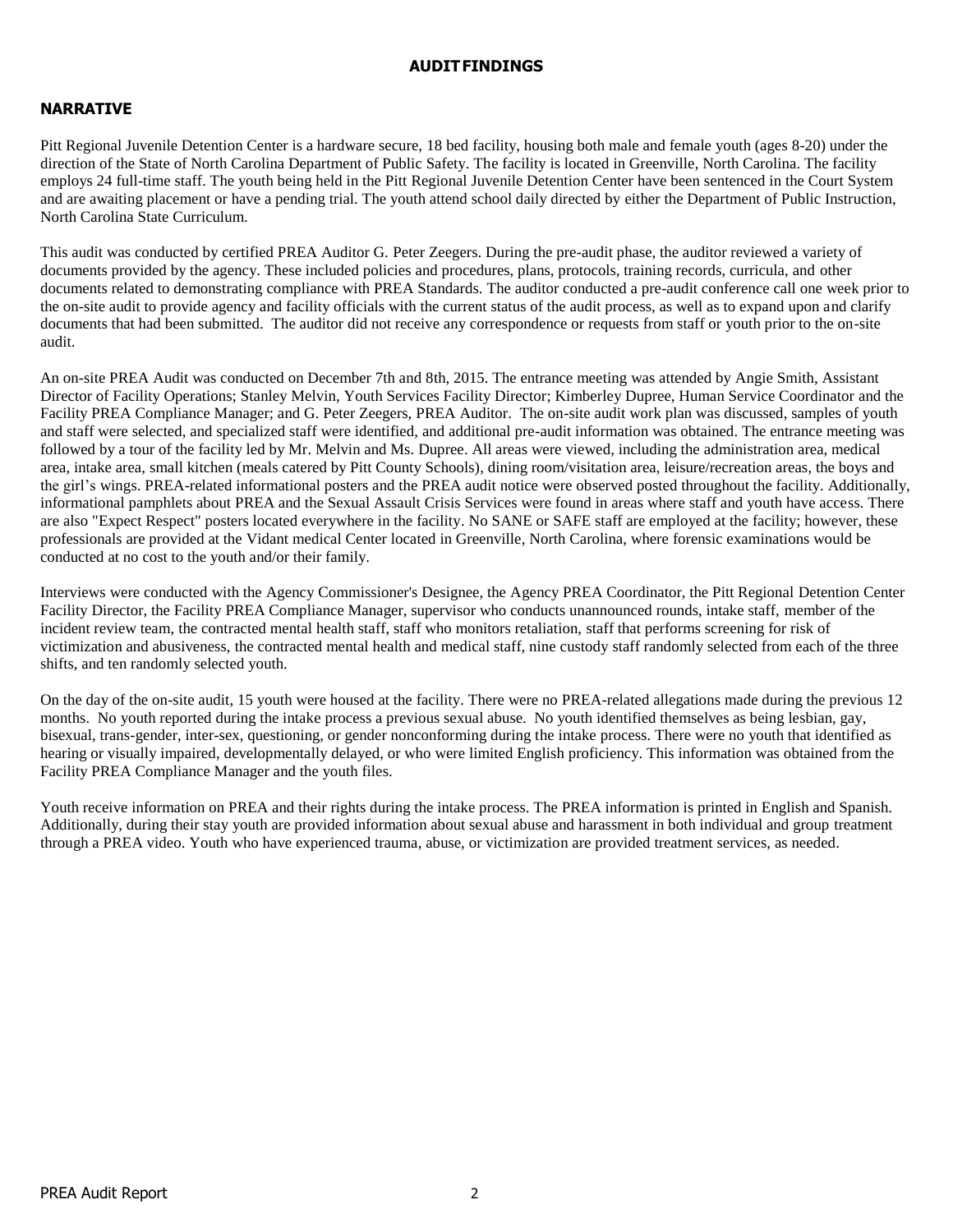#### **AUDITFINDINGS**

## **NARRATIVE**

Pitt Regional Juvenile Detention Center is a hardware secure, 18 bed facility, housing both male and female youth (ages 8-20) under the direction of the State of North Carolina Department of Public Safety. The facility is located in Greenville, North Carolina. The facility employs 24 full-time staff. The youth being held in the Pitt Regional Juvenile Detention Center have been sentenced in the Court System and are awaiting placement or have a pending trial. The youth attend school daily directed by either the Department of Public Instruction, North Carolina State Curriculum.

This audit was conducted by certified PREA Auditor G. Peter Zeegers. During the pre-audit phase, the auditor reviewed a variety of documents provided by the agency. These included policies and procedures, plans, protocols, training records, curricula, and other documents related to demonstrating compliance with PREA Standards. The auditor conducted a pre-audit conference call one week prior to the on-site audit to provide agency and facility officials with the current status of the audit process, as well as to expand upon and clarify documents that had been submitted. The auditor did not receive any correspondence or requests from staff or youth prior to the on-site audit.

An on-site PREA Audit was conducted on December 7th and 8th, 2015. The entrance meeting was attended by Angie Smith, Assistant Director of Facility Operations; Stanley Melvin, Youth Services Facility Director; Kimberley Dupree, Human Service Coordinator and the Facility PREA Compliance Manager; and G. Peter Zeegers, PREA Auditor. The on-site audit work plan was discussed, samples of youth and staff were selected, and specialized staff were identified, and additional pre-audit information was obtained. The entrance meeting was followed by a tour of the facility led by Mr. Melvin and Ms. Dupree. All areas were viewed, including the administration area, medical area, intake area, small kitchen (meals catered by Pitt County Schools), dining room/visitation area, leisure/recreation areas, the boys and the girl's wings. PREA-related informational posters and the PREA audit notice were observed posted throughout the facility. Additionally, informational pamphlets about PREA and the Sexual Assault Crisis Services were found in areas where staff and youth have access. There are also "Expect Respect" posters located everywhere in the facility. No SANE or SAFE staff are employed at the facility; however, these professionals are provided at the Vidant medical Center located in Greenville, North Carolina, where forensic examinations would be conducted at no cost to the youth and/or their family.

Interviews were conducted with the Agency Commissioner's Designee, the Agency PREA Coordinator, the Pitt Regional Detention Center Facility Director, the Facility PREA Compliance Manager, supervisor who conducts unannounced rounds, intake staff, member of the incident review team, the contracted mental health staff, staff who monitors retaliation, staff that performs screening for risk of victimization and abusiveness, the contracted mental health and medical staff, nine custody staff randomly selected from each of the three shifts, and ten randomly selected youth.

On the day of the on-site audit, 15 youth were housed at the facility. There were no PREA-related allegations made during the previous 12 months. No youth reported during the intake process a previous sexual abuse. No youth identified themselves as being lesbian, gay, bisexual, trans-gender, inter-sex, questioning, or gender nonconforming during the intake process. There were no youth that identified as hearing or visually impaired, developmentally delayed, or who were limited English proficiency. This information was obtained from the Facility PREA Compliance Manager and the youth files.

Youth receive information on PREA and their rights during the intake process. The PREA information is printed in English and Spanish. Additionally, during their stay youth are provided information about sexual abuse and harassment in both individual and group treatment through a PREA video. Youth who have experienced trauma, abuse, or victimization are provided treatment services, as needed.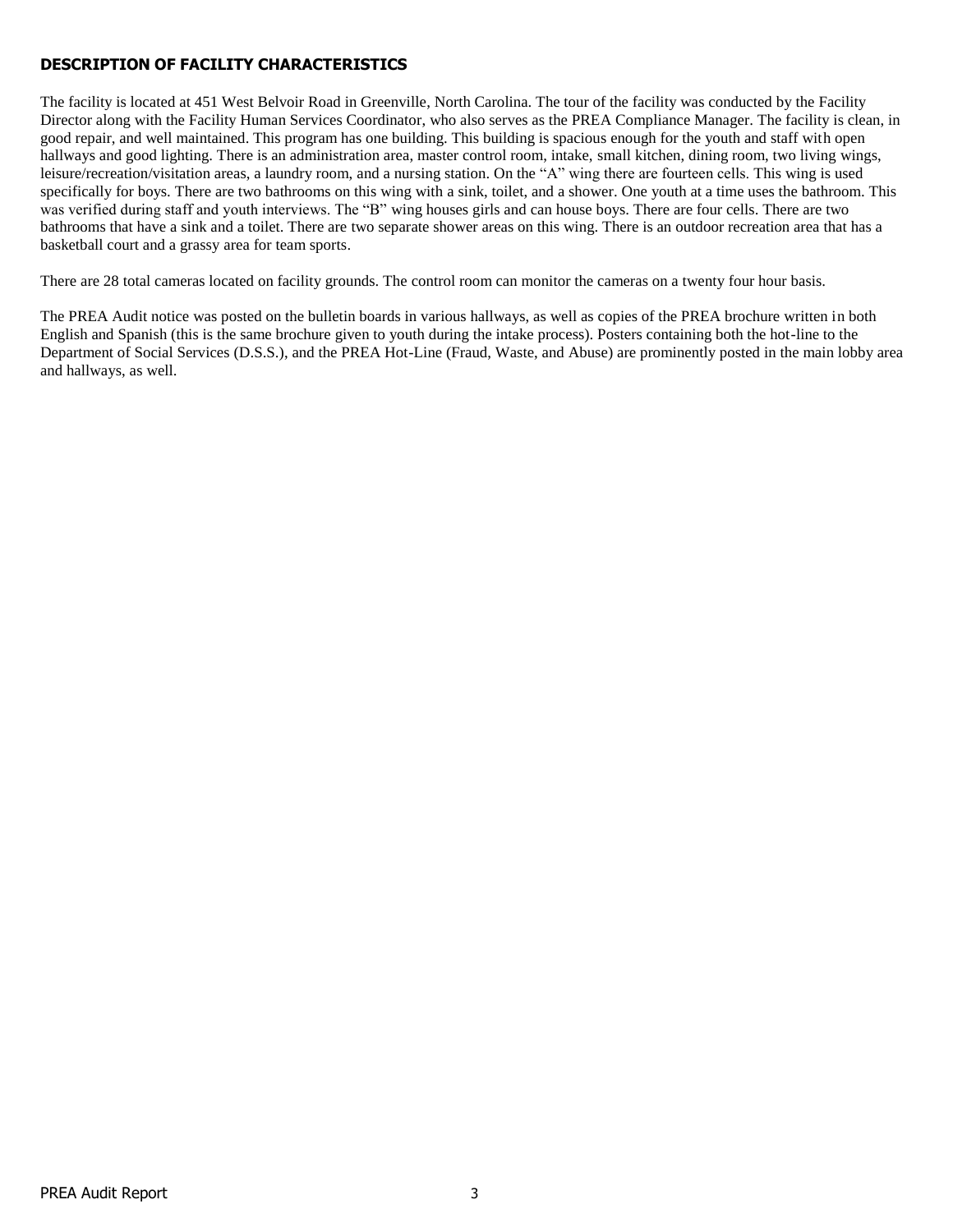# **DESCRIPTION OF FACILITY CHARACTERISTICS**

The facility is located at 451 West Belvoir Road in Greenville, North Carolina. The tour of the facility was conducted by the Facility Director along with the Facility Human Services Coordinator, who also serves as the PREA Compliance Manager. The facility is clean, in good repair, and well maintained. This program has one building. This building is spacious enough for the youth and staff with open hallways and good lighting. There is an administration area, master control room, intake, small kitchen, dining room, two living wings, leisure/recreation/visitation areas, a laundry room, and a nursing station. On the "A" wing there are fourteen cells. This wing is used specifically for boys. There are two bathrooms on this wing with a sink, toilet, and a shower. One youth at a time uses the bathroom. This was verified during staff and youth interviews. The "B" wing houses girls and can house boys. There are four cells. There are two bathrooms that have a sink and a toilet. There are two separate shower areas on this wing. There is an outdoor recreation area that has a basketball court and a grassy area for team sports.

There are 28 total cameras located on facility grounds. The control room can monitor the cameras on a twenty four hour basis.

The PREA Audit notice was posted on the bulletin boards in various hallways, as well as copies of the PREA brochure written in both English and Spanish (this is the same brochure given to youth during the intake process). Posters containing both the hot-line to the Department of Social Services (D.S.S.), and the PREA Hot-Line (Fraud, Waste, and Abuse) are prominently posted in the main lobby area and hallways, as well.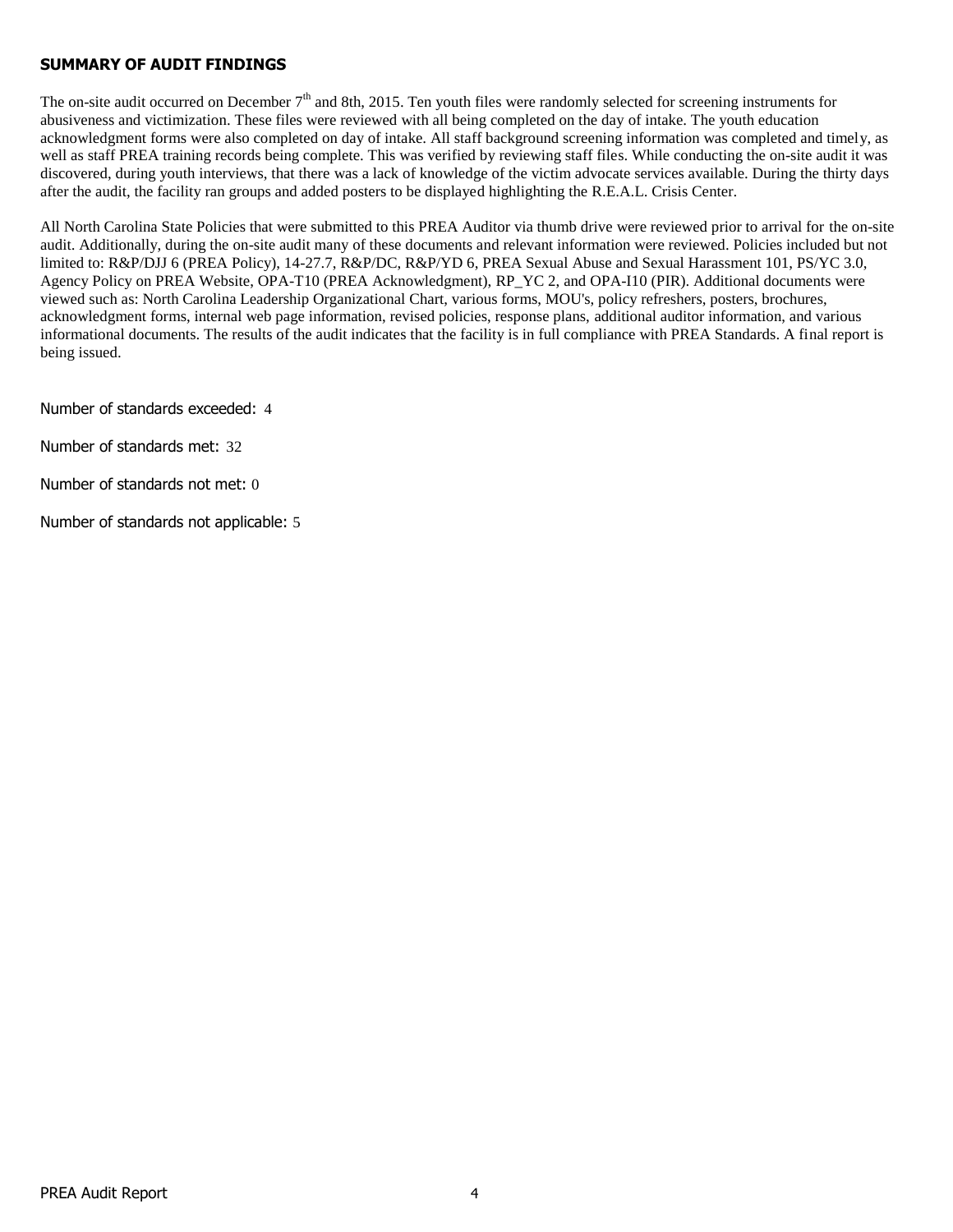# **SUMMARY OF AUDIT FINDINGS**

The on-site audit occurred on December  $7<sup>th</sup>$  and 8th, 2015. Ten youth files were randomly selected for screening instruments for abusiveness and victimization. These files were reviewed with all being completed on the day of intake. The youth education acknowledgment forms were also completed on day of intake. All staff background screening information was completed and timely, as well as staff PREA training records being complete. This was verified by reviewing staff files. While conducting the on-site audit it was discovered, during youth interviews, that there was a lack of knowledge of the victim advocate services available. During the thirty days after the audit, the facility ran groups and added posters to be displayed highlighting the R.E.A.L. Crisis Center.

All North Carolina State Policies that were submitted to this PREA Auditor via thumb drive were reviewed prior to arrival for the on-site audit. Additionally, during the on-site audit many of these documents and relevant information were reviewed. Policies included but not limited to: R&P/DJJ 6 (PREA Policy), 14-27.7, R&P/DC, R&P/YD 6, PREA Sexual Abuse and Sexual Harassment 101, PS/YC 3.0, Agency Policy on PREA Website, OPA-T10 (PREA Acknowledgment), RP\_YC 2, and OPA-I10 (PIR). Additional documents were viewed such as: North Carolina Leadership Organizational Chart, various forms, MOU's, policy refreshers, posters, brochures, acknowledgment forms, internal web page information, revised policies, response plans, additional auditor information, and various informational documents. The results of the audit indicates that the facility is in full compliance with PREA Standards. A final report is being issued.

Number of standards exceeded: 4

Number of standards met: 32

Number of standards not met: 0

Number of standards not applicable: 5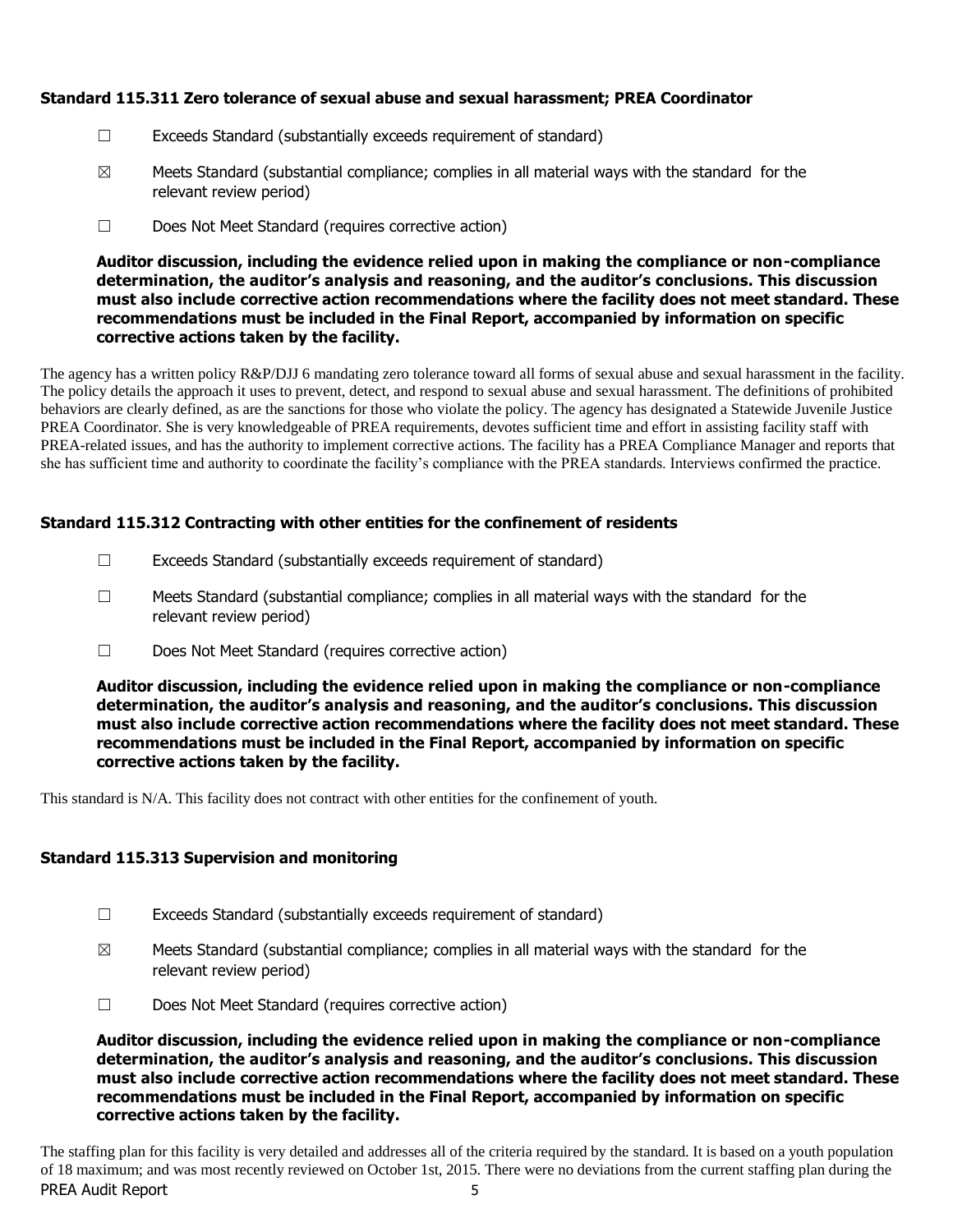# **Standard 115.311 Zero tolerance of sexual abuse and sexual harassment; PREA Coordinator**

- ☐ Exceeds Standard (substantially exceeds requirement of standard)
- $\boxtimes$  Meets Standard (substantial compliance; complies in all material ways with the standard for the relevant review period)
- ☐ Does Not Meet Standard (requires corrective action)

**Auditor discussion, including the evidence relied upon in making the compliance or non-compliance determination, the auditor's analysis and reasoning, and the auditor's conclusions. This discussion must also include corrective action recommendations where the facility does not meet standard. These recommendations must be included in the Final Report, accompanied by information on specific corrective actions taken by the facility.**

The agency has a written policy R&P/DJJ 6 mandating zero tolerance toward all forms of sexual abuse and sexual harassment in the facility. The policy details the approach it uses to prevent, detect, and respond to sexual abuse and sexual harassment. The definitions of prohibited behaviors are clearly defined, as are the sanctions for those who violate the policy. The agency has designated a Statewide Juvenile Justice PREA Coordinator. She is very knowledgeable of PREA requirements, devotes sufficient time and effort in assisting facility staff with PREA-related issues, and has the authority to implement corrective actions. The facility has a PREA Compliance Manager and reports that she has sufficient time and authority to coordinate the facility's compliance with the PREA standards. Interviews confirmed the practice.

# **Standard 115.312 Contracting with other entities for the confinement of residents**

- $\Box$  Exceeds Standard (substantially exceeds requirement of standard)
- $\Box$  Meets Standard (substantial compliance; complies in all material ways with the standard for the relevant review period)
- ☐ Does Not Meet Standard (requires corrective action)

**Auditor discussion, including the evidence relied upon in making the compliance or non-compliance determination, the auditor's analysis and reasoning, and the auditor's conclusions. This discussion must also include corrective action recommendations where the facility does not meet standard. These recommendations must be included in the Final Report, accompanied by information on specific corrective actions taken by the facility.**

This standard is N/A. This facility does not contract with other entities for the confinement of youth.

# **Standard 115.313 Supervision and monitoring**

- $\Box$  Exceeds Standard (substantially exceeds requirement of standard)
- $\boxtimes$  Meets Standard (substantial compliance; complies in all material ways with the standard for the relevant review period)
- ☐ Does Not Meet Standard (requires corrective action)

**Auditor discussion, including the evidence relied upon in making the compliance or non-compliance determination, the auditor's analysis and reasoning, and the auditor's conclusions. This discussion must also include corrective action recommendations where the facility does not meet standard. These recommendations must be included in the Final Report, accompanied by information on specific corrective actions taken by the facility.**

PREA Audit Report 5 The staffing plan for this facility is very detailed and addresses all of the criteria required by the standard. It is based on a youth population of 18 maximum; and was most recently reviewed on October 1st, 2015. There were no deviations from the current staffing plan during the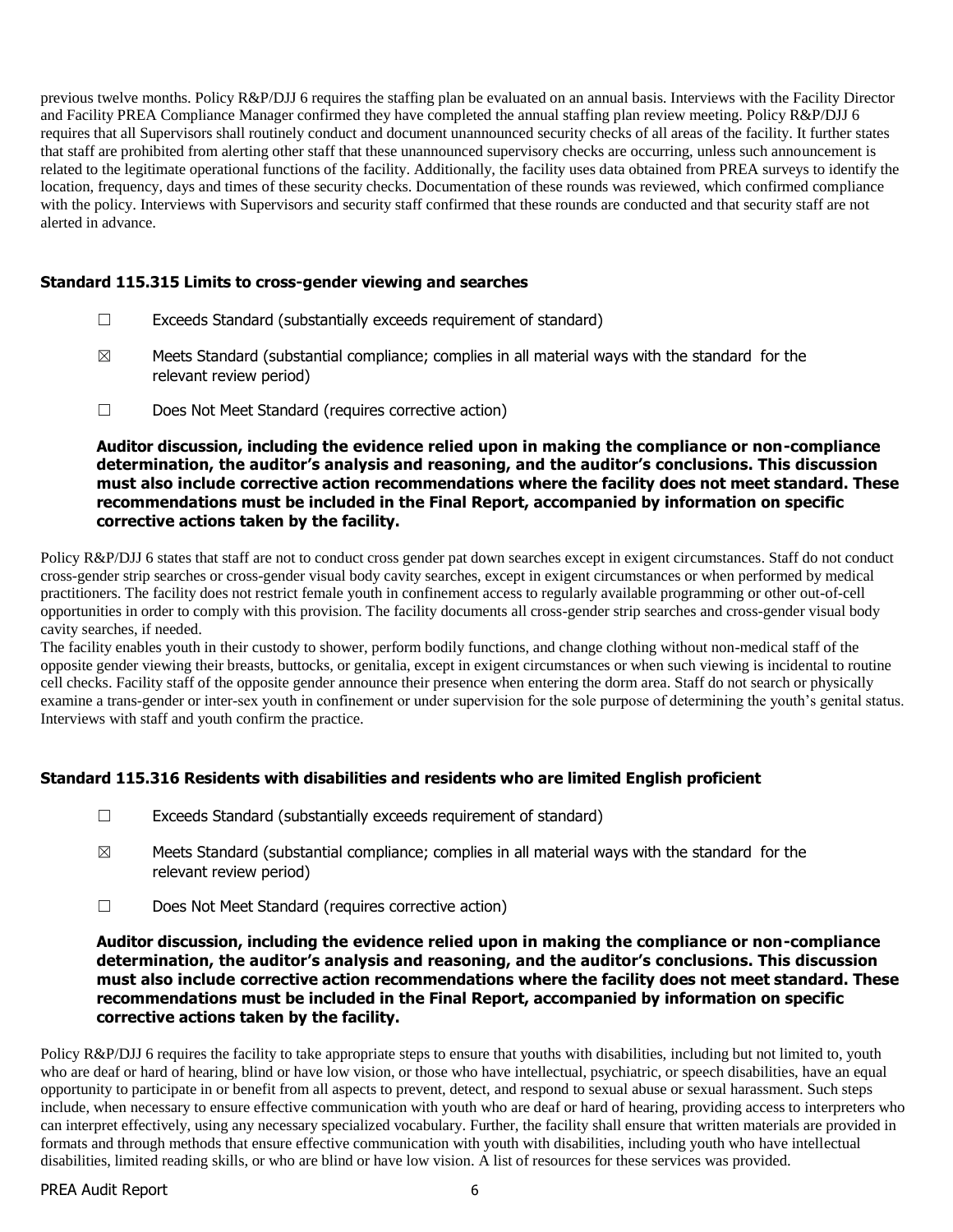previous twelve months. Policy R&P/DJJ 6 requires the staffing plan be evaluated on an annual basis. Interviews with the Facility Director and Facility PREA Compliance Manager confirmed they have completed the annual staffing plan review meeting. Policy R&P/DJJ 6 requires that all Supervisors shall routinely conduct and document unannounced security checks of all areas of the facility. It further states that staff are prohibited from alerting other staff that these unannounced supervisory checks are occurring, unless such announcement is related to the legitimate operational functions of the facility. Additionally, the facility uses data obtained from PREA surveys to identify the location, frequency, days and times of these security checks. Documentation of these rounds was reviewed, which confirmed compliance with the policy. Interviews with Supervisors and security staff confirmed that these rounds are conducted and that security staff are not alerted in advance.

# **Standard 115.315 Limits to cross-gender viewing and searches**

- ☐ Exceeds Standard (substantially exceeds requirement of standard)
- $\boxtimes$  Meets Standard (substantial compliance; complies in all material ways with the standard for the relevant review period)
- ☐ Does Not Meet Standard (requires corrective action)

**Auditor discussion, including the evidence relied upon in making the compliance or non-compliance determination, the auditor's analysis and reasoning, and the auditor's conclusions. This discussion must also include corrective action recommendations where the facility does not meet standard. These recommendations must be included in the Final Report, accompanied by information on specific corrective actions taken by the facility.**

Policy R&P/DJJ 6 states that staff are not to conduct cross gender pat down searches except in exigent circumstances. Staff do not conduct cross-gender strip searches or cross-gender visual body cavity searches, except in exigent circumstances or when performed by medical practitioners. The facility does not restrict female youth in confinement access to regularly available programming or other out-of-cell opportunities in order to comply with this provision. The facility documents all cross-gender strip searches and cross-gender visual body cavity searches, if needed.

The facility enables youth in their custody to shower, perform bodily functions, and change clothing without non-medical staff of the opposite gender viewing their breasts, buttocks, or genitalia, except in exigent circumstances or when such viewing is incidental to routine cell checks. Facility staff of the opposite gender announce their presence when entering the dorm area. Staff do not search or physically examine a trans-gender or inter-sex youth in confinement or under supervision for the sole purpose of determining the youth's genital status. Interviews with staff and youth confirm the practice.

# **Standard 115.316 Residents with disabilities and residents who are limited English proficient**

- $\Box$  Exceeds Standard (substantially exceeds requirement of standard)
- $\boxtimes$  Meets Standard (substantial compliance; complies in all material ways with the standard for the relevant review period)
- ☐ Does Not Meet Standard (requires corrective action)

**Auditor discussion, including the evidence relied upon in making the compliance or non-compliance determination, the auditor's analysis and reasoning, and the auditor's conclusions. This discussion must also include corrective action recommendations where the facility does not meet standard. These recommendations must be included in the Final Report, accompanied by information on specific corrective actions taken by the facility.**

Policy R&P/DJJ 6 requires the facility to take appropriate steps to ensure that youths with disabilities, including but not limited to, youth who are deaf or hard of hearing, blind or have low vision, or those who have intellectual, psychiatric, or speech disabilities, have an equal opportunity to participate in or benefit from all aspects to prevent, detect, and respond to sexual abuse or sexual harassment. Such steps include, when necessary to ensure effective communication with youth who are deaf or hard of hearing, providing access to interpreters who can interpret effectively, using any necessary specialized vocabulary. Further, the facility shall ensure that written materials are provided in formats and through methods that ensure effective communication with youth with disabilities, including youth who have intellectual disabilities, limited reading skills, or who are blind or have low vision. A list of resources for these services was provided.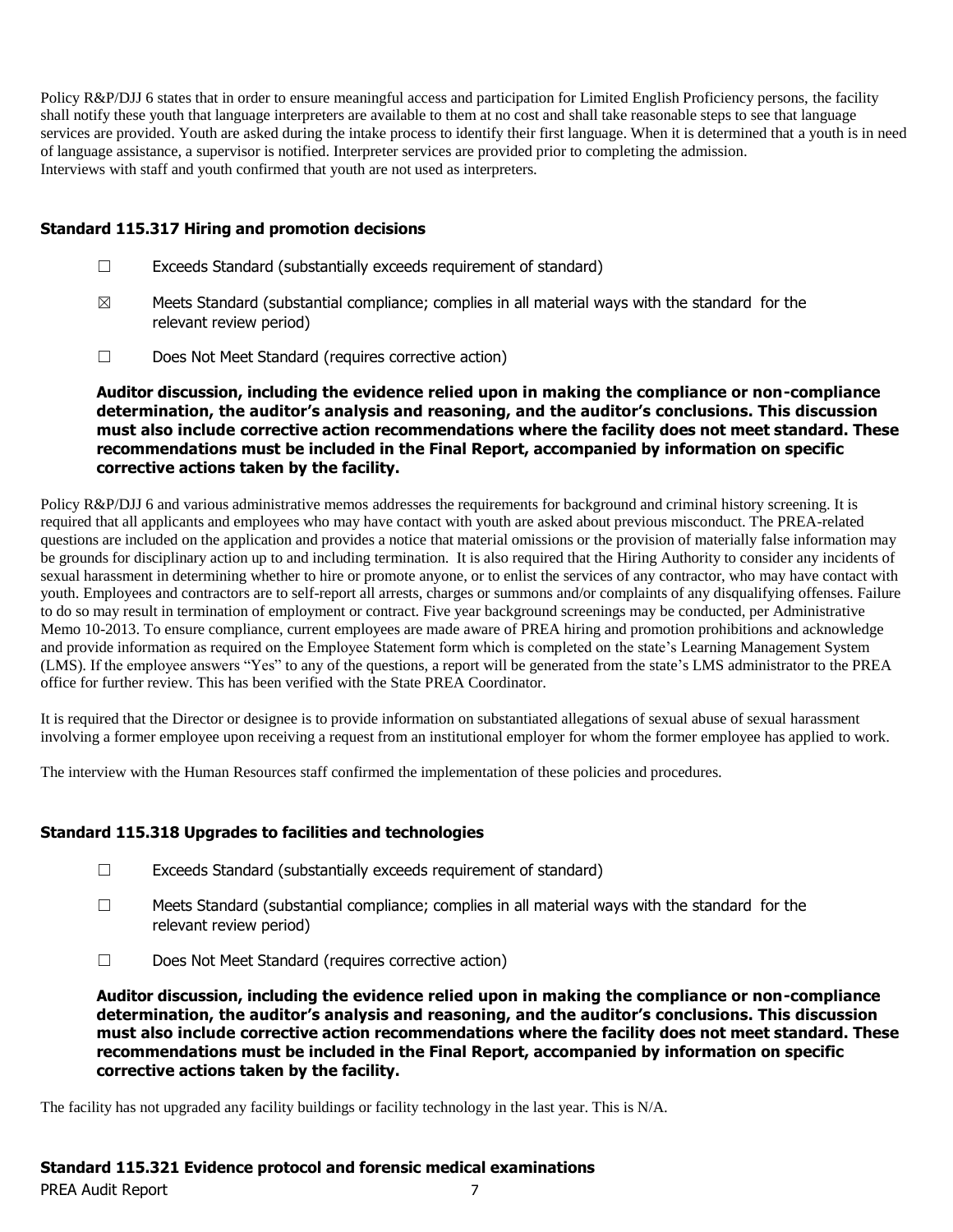Policy R&P/DJJ 6 states that in order to ensure meaningful access and participation for Limited English Proficiency persons, the facility shall notify these youth that language interpreters are available to them at no cost and shall take reasonable steps to see that language services are provided. Youth are asked during the intake process to identify their first language. When it is determined that a youth is in need of language assistance, a supervisor is notified. Interpreter services are provided prior to completing the admission. Interviews with staff and youth confirmed that youth are not used as interpreters.

# **Standard 115.317 Hiring and promotion decisions**

- ☐ Exceeds Standard (substantially exceeds requirement of standard)
- $\boxtimes$  Meets Standard (substantial compliance; complies in all material ways with the standard for the relevant review period)
- ☐ Does Not Meet Standard (requires corrective action)

**Auditor discussion, including the evidence relied upon in making the compliance or non-compliance determination, the auditor's analysis and reasoning, and the auditor's conclusions. This discussion must also include corrective action recommendations where the facility does not meet standard. These recommendations must be included in the Final Report, accompanied by information on specific corrective actions taken by the facility.**

Policy R&P/DJJ 6 and various administrative memos addresses the requirements for background and criminal history screening. It is required that all applicants and employees who may have contact with youth are asked about previous misconduct. The PREA-related questions are included on the application and provides a notice that material omissions or the provision of materially false information may be grounds for disciplinary action up to and including termination. It is also required that the Hiring Authority to consider any incidents of sexual harassment in determining whether to hire or promote anyone, or to enlist the services of any contractor, who may have contact with youth. Employees and contractors are to self-report all arrests, charges or summons and/or complaints of any disqualifying offenses. Failure to do so may result in termination of employment or contract. Five year background screenings may be conducted, per Administrative Memo 10-2013. To ensure compliance, current employees are made aware of PREA hiring and promotion prohibitions and acknowledge and provide information as required on the Employee Statement form which is completed on the state's Learning Management System (LMS). If the employee answers "Yes" to any of the questions, a report will be generated from the state's LMS administrator to the PREA office for further review. This has been verified with the State PREA Coordinator.

It is required that the Director or designee is to provide information on substantiated allegations of sexual abuse of sexual harassment involving a former employee upon receiving a request from an institutional employer for whom the former employee has applied to work.

The interview with the Human Resources staff confirmed the implementation of these policies and procedures.

# **Standard 115.318 Upgrades to facilities and technologies**

- ☐ Exceeds Standard (substantially exceeds requirement of standard)
- $\Box$  Meets Standard (substantial compliance; complies in all material ways with the standard for the relevant review period)
- ☐ Does Not Meet Standard (requires corrective action)

**Auditor discussion, including the evidence relied upon in making the compliance or non-compliance determination, the auditor's analysis and reasoning, and the auditor's conclusions. This discussion must also include corrective action recommendations where the facility does not meet standard. These recommendations must be included in the Final Report, accompanied by information on specific corrective actions taken by the facility.**

The facility has not upgraded any facility buildings or facility technology in the last year. This is N/A.

# **Standard 115.321 Evidence protocol and forensic medical examinations**

PREA Audit Report 7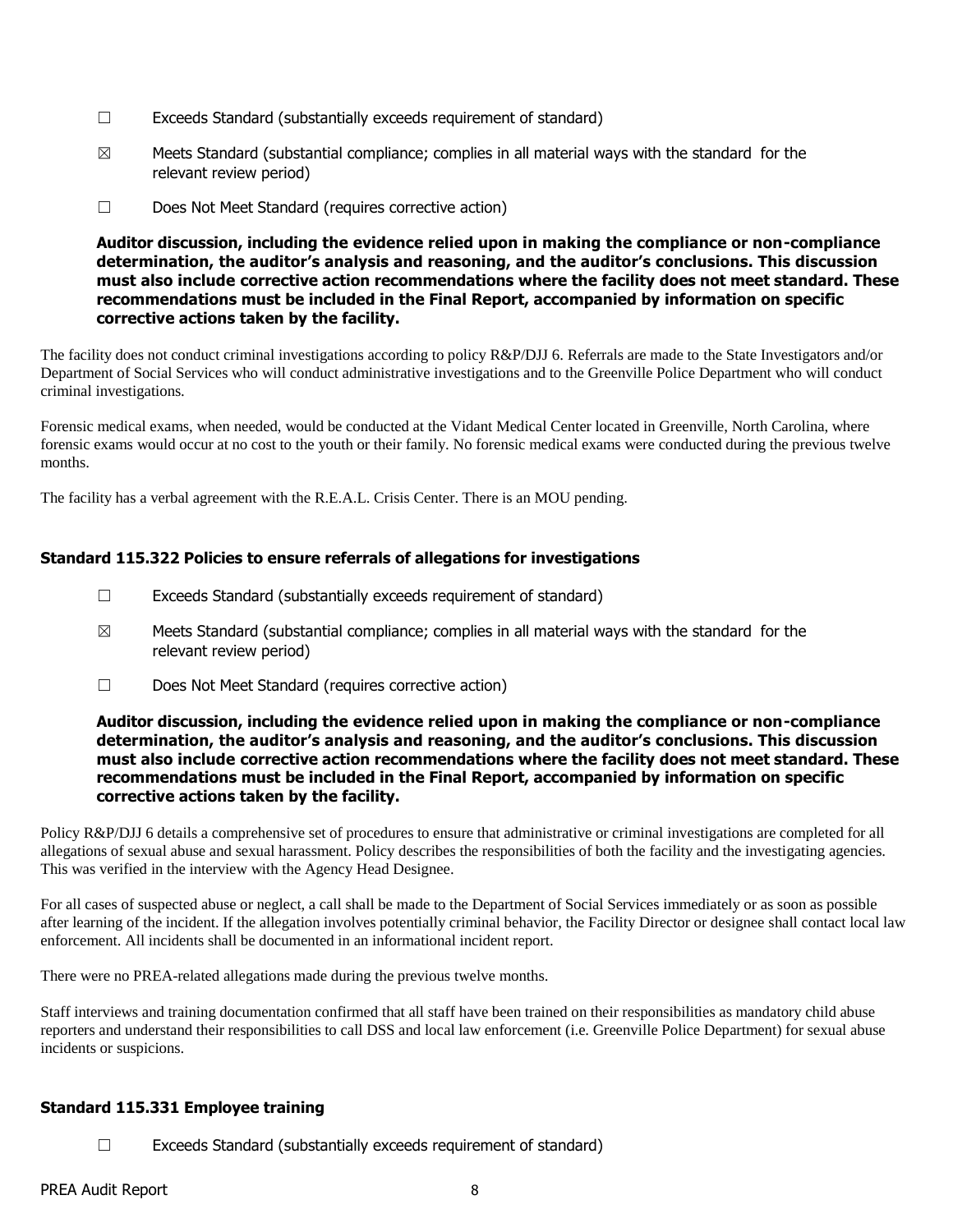- $\Box$  Exceeds Standard (substantially exceeds requirement of standard)
- $\boxtimes$  Meets Standard (substantial compliance; complies in all material ways with the standard for the relevant review period)
- ☐ Does Not Meet Standard (requires corrective action)

The facility does not conduct criminal investigations according to policy R&P/DJJ 6. Referrals are made to the State Investigators and/or Department of Social Services who will conduct administrative investigations and to the Greenville Police Department who will conduct criminal investigations.

Forensic medical exams, when needed, would be conducted at the Vidant Medical Center located in Greenville, North Carolina, where forensic exams would occur at no cost to the youth or their family. No forensic medical exams were conducted during the previous twelve months.

The facility has a verbal agreement with the R.E.A.L. Crisis Center. There is an MOU pending.

# **Standard 115.322 Policies to ensure referrals of allegations for investigations**

- ☐ Exceeds Standard (substantially exceeds requirement of standard)
- $\boxtimes$  Meets Standard (substantial compliance; complies in all material ways with the standard for the relevant review period)
- ☐ Does Not Meet Standard (requires corrective action)

#### **Auditor discussion, including the evidence relied upon in making the compliance or non-compliance determination, the auditor's analysis and reasoning, and the auditor's conclusions. This discussion must also include corrective action recommendations where the facility does not meet standard. These recommendations must be included in the Final Report, accompanied by information on specific corrective actions taken by the facility.**

Policy R&P/DJJ 6 details a comprehensive set of procedures to ensure that administrative or criminal investigations are completed for all allegations of sexual abuse and sexual harassment. Policy describes the responsibilities of both the facility and the investigating agencies. This was verified in the interview with the Agency Head Designee.

For all cases of suspected abuse or neglect, a call shall be made to the Department of Social Services immediately or as soon as possible after learning of the incident. If the allegation involves potentially criminal behavior, the Facility Director or designee shall contact local law enforcement. All incidents shall be documented in an informational incident report.

There were no PREA-related allegations made during the previous twelve months.

Staff interviews and training documentation confirmed that all staff have been trained on their responsibilities as mandatory child abuse reporters and understand their responsibilities to call DSS and local law enforcement (i.e. Greenville Police Department) for sexual abuse incidents or suspicions.

# **Standard 115.331 Employee training**

☐ Exceeds Standard (substantially exceeds requirement of standard)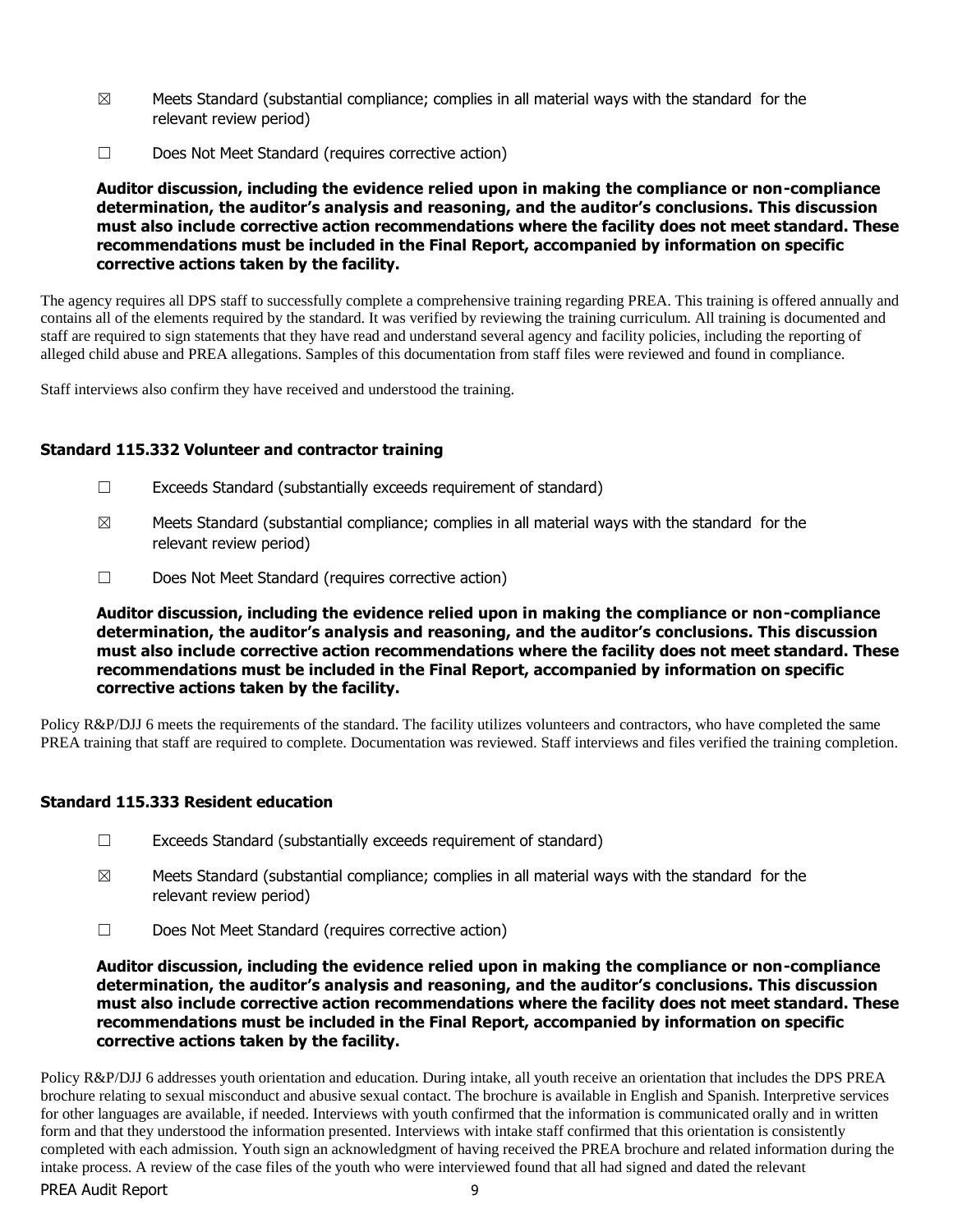- $\boxtimes$  Meets Standard (substantial compliance; complies in all material ways with the standard for the relevant review period)
- ☐ Does Not Meet Standard (requires corrective action)

The agency requires all DPS staff to successfully complete a comprehensive training regarding PREA. This training is offered annually and contains all of the elements required by the standard. It was verified by reviewing the training curriculum. All training is documented and staff are required to sign statements that they have read and understand several agency and facility policies, including the reporting of alleged child abuse and PREA allegations. Samples of this documentation from staff files were reviewed and found in compliance.

Staff interviews also confirm they have received and understood the training.

#### **Standard 115.332 Volunteer and contractor training**

- $\Box$  Exceeds Standard (substantially exceeds requirement of standard)
- $\boxtimes$  Meets Standard (substantial compliance; complies in all material ways with the standard for the relevant review period)
- ☐ Does Not Meet Standard (requires corrective action)

**Auditor discussion, including the evidence relied upon in making the compliance or non-compliance determination, the auditor's analysis and reasoning, and the auditor's conclusions. This discussion must also include corrective action recommendations where the facility does not meet standard. These recommendations must be included in the Final Report, accompanied by information on specific corrective actions taken by the facility.**

Policy R&P/DJJ 6 meets the requirements of the standard. The facility utilizes volunteers and contractors, who have completed the same PREA training that staff are required to complete. Documentation was reviewed. Staff interviews and files verified the training completion.

#### **Standard 115.333 Resident education**

- $\Box$  Exceeds Standard (substantially exceeds requirement of standard)
- $\boxtimes$  Meets Standard (substantial compliance; complies in all material ways with the standard for the relevant review period)
- ☐ Does Not Meet Standard (requires corrective action)

**Auditor discussion, including the evidence relied upon in making the compliance or non-compliance determination, the auditor's analysis and reasoning, and the auditor's conclusions. This discussion must also include corrective action recommendations where the facility does not meet standard. These recommendations must be included in the Final Report, accompanied by information on specific corrective actions taken by the facility.**

PREA Audit Report 9 Policy R&P/DJJ 6 addresses youth orientation and education. During intake, all youth receive an orientation that includes the DPS PREA brochure relating to sexual misconduct and abusive sexual contact. The brochure is available in English and Spanish. Interpretive services for other languages are available, if needed. Interviews with youth confirmed that the information is communicated orally and in written form and that they understood the information presented. Interviews with intake staff confirmed that this orientation is consistently completed with each admission. Youth sign an acknowledgment of having received the PREA brochure and related information during the intake process. A review of the case files of the youth who were interviewed found that all had signed and dated the relevant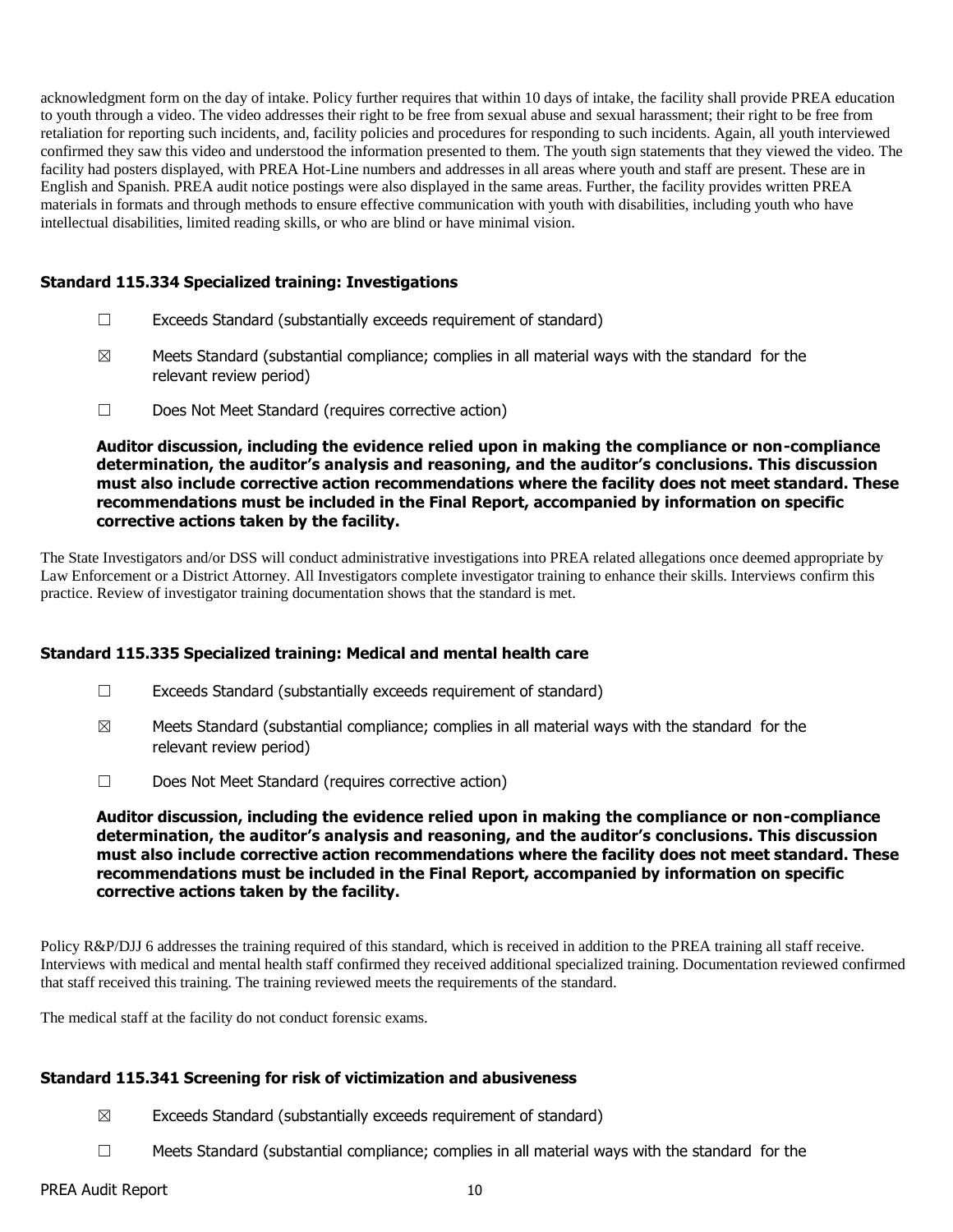acknowledgment form on the day of intake. Policy further requires that within 10 days of intake, the facility shall provide PREA education to youth through a video. The video addresses their right to be free from sexual abuse and sexual harassment; their right to be free from retaliation for reporting such incidents, and, facility policies and procedures for responding to such incidents. Again, all youth interviewed confirmed they saw this video and understood the information presented to them. The youth sign statements that they viewed the video. The facility had posters displayed, with PREA Hot-Line numbers and addresses in all areas where youth and staff are present. These are in English and Spanish. PREA audit notice postings were also displayed in the same areas. Further, the facility provides written PREA materials in formats and through methods to ensure effective communication with youth with disabilities, including youth who have intellectual disabilities, limited reading skills, or who are blind or have minimal vision.

# **Standard 115.334 Specialized training: Investigations**

- ☐ Exceeds Standard (substantially exceeds requirement of standard)
- $\boxtimes$  Meets Standard (substantial compliance; complies in all material ways with the standard for the relevant review period)
- ☐ Does Not Meet Standard (requires corrective action)

**Auditor discussion, including the evidence relied upon in making the compliance or non-compliance determination, the auditor's analysis and reasoning, and the auditor's conclusions. This discussion must also include corrective action recommendations where the facility does not meet standard. These recommendations must be included in the Final Report, accompanied by information on specific corrective actions taken by the facility.**

The State Investigators and/or DSS will conduct administrative investigations into PREA related allegations once deemed appropriate by Law Enforcement or a District Attorney. All Investigators complete investigator training to enhance their skills. Interviews confirm this practice. Review of investigator training documentation shows that the standard is met.

# **Standard 115.335 Specialized training: Medical and mental health care**

- $\Box$  Exceeds Standard (substantially exceeds requirement of standard)
- $\boxtimes$  Meets Standard (substantial compliance; complies in all material ways with the standard for the relevant review period)
- ☐ Does Not Meet Standard (requires corrective action)

**Auditor discussion, including the evidence relied upon in making the compliance or non-compliance determination, the auditor's analysis and reasoning, and the auditor's conclusions. This discussion must also include corrective action recommendations where the facility does not meet standard. These recommendations must be included in the Final Report, accompanied by information on specific corrective actions taken by the facility.**

Policy R&P/DJJ 6 addresses the training required of this standard, which is received in addition to the PREA training all staff receive. Interviews with medical and mental health staff confirmed they received additional specialized training. Documentation reviewed confirmed that staff received this training. The training reviewed meets the requirements of the standard.

The medical staff at the facility do not conduct forensic exams.

# **Standard 115.341 Screening for risk of victimization and abusiveness**

- $\boxtimes$  Exceeds Standard (substantially exceeds requirement of standard)
- $\Box$  Meets Standard (substantial compliance; complies in all material ways with the standard for the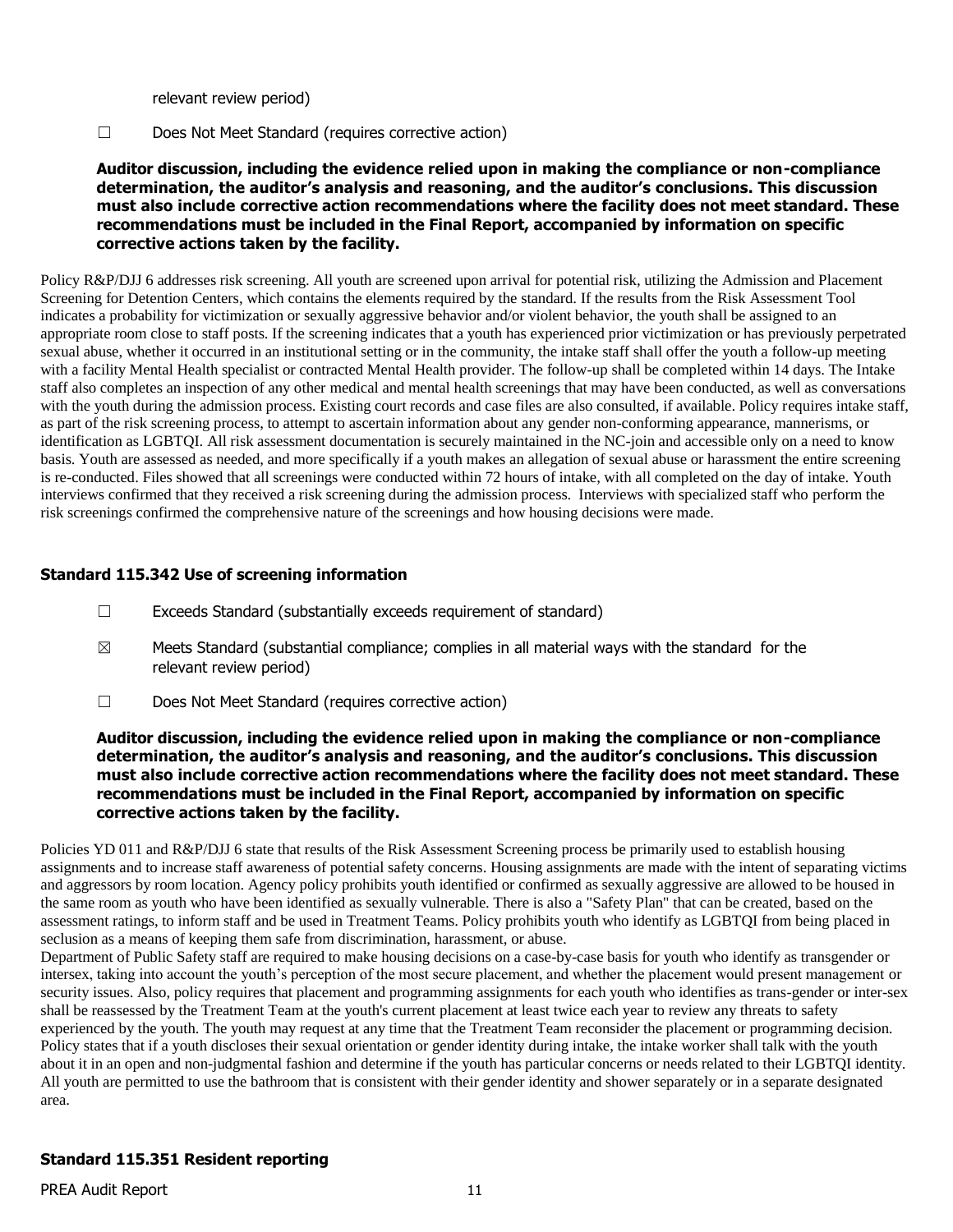relevant review period)

☐ Does Not Meet Standard (requires corrective action)

**Auditor discussion, including the evidence relied upon in making the compliance or non-compliance determination, the auditor's analysis and reasoning, and the auditor's conclusions. This discussion must also include corrective action recommendations where the facility does not meet standard. These recommendations must be included in the Final Report, accompanied by information on specific corrective actions taken by the facility.**

Policy R&P/DJJ 6 addresses risk screening. All youth are screened upon arrival for potential risk, utilizing the Admission and Placement Screening for Detention Centers, which contains the elements required by the standard. If the results from the Risk Assessment Tool indicates a probability for victimization or sexually aggressive behavior and/or violent behavior, the youth shall be assigned to an appropriate room close to staff posts. If the screening indicates that a youth has experienced prior victimization or has previously perpetrated sexual abuse, whether it occurred in an institutional setting or in the community, the intake staff shall offer the youth a follow-up meeting with a facility Mental Health specialist or contracted Mental Health provider. The follow-up shall be completed within 14 days. The Intake staff also completes an inspection of any other medical and mental health screenings that may have been conducted, as well as conversations with the youth during the admission process. Existing court records and case files are also consulted, if available. Policy requires intake staff, as part of the risk screening process, to attempt to ascertain information about any gender non-conforming appearance, mannerisms, or identification as LGBTQI. All risk assessment documentation is securely maintained in the NC-join and accessible only on a need to know basis. Youth are assessed as needed, and more specifically if a youth makes an allegation of sexual abuse or harassment the entire screening is re-conducted. Files showed that all screenings were conducted within 72 hours of intake, with all completed on the day of intake. Youth interviews confirmed that they received a risk screening during the admission process. Interviews with specialized staff who perform the risk screenings confirmed the comprehensive nature of the screenings and how housing decisions were made.

# **Standard 115.342 Use of screening information**

- ☐ Exceeds Standard (substantially exceeds requirement of standard)
- $\boxtimes$  Meets Standard (substantial compliance; complies in all material ways with the standard for the relevant review period)
- ☐ Does Not Meet Standard (requires corrective action)

#### **Auditor discussion, including the evidence relied upon in making the compliance or non-compliance determination, the auditor's analysis and reasoning, and the auditor's conclusions. This discussion must also include corrective action recommendations where the facility does not meet standard. These recommendations must be included in the Final Report, accompanied by information on specific corrective actions taken by the facility.**

Policies YD 011 and R&P/DJJ 6 state that results of the Risk Assessment Screening process be primarily used to establish housing assignments and to increase staff awareness of potential safety concerns. Housing assignments are made with the intent of separating victims and aggressors by room location. Agency policy prohibits youth identified or confirmed as sexually aggressive are allowed to be housed in the same room as youth who have been identified as sexually vulnerable. There is also a "Safety Plan" that can be created, based on the assessment ratings, to inform staff and be used in Treatment Teams. Policy prohibits youth who identify as LGBTQI from being placed in seclusion as a means of keeping them safe from discrimination, harassment, or abuse.

Department of Public Safety staff are required to make housing decisions on a case-by-case basis for youth who identify as transgender or intersex, taking into account the youth's perception of the most secure placement, and whether the placement would present management or security issues. Also, policy requires that placement and programming assignments for each youth who identifies as trans-gender or inter-sex shall be reassessed by the Treatment Team at the youth's current placement at least twice each year to review any threats to safety experienced by the youth. The youth may request at any time that the Treatment Team reconsider the placement or programming decision. Policy states that if a youth discloses their sexual orientation or gender identity during intake, the intake worker shall talk with the youth about it in an open and non-judgmental fashion and determine if the youth has particular concerns or needs related to their LGBTQI identity. All youth are permitted to use the bathroom that is consistent with their gender identity and shower separately or in a separate designated area.

# **Standard 115.351 Resident reporting**

PREA Audit Report 11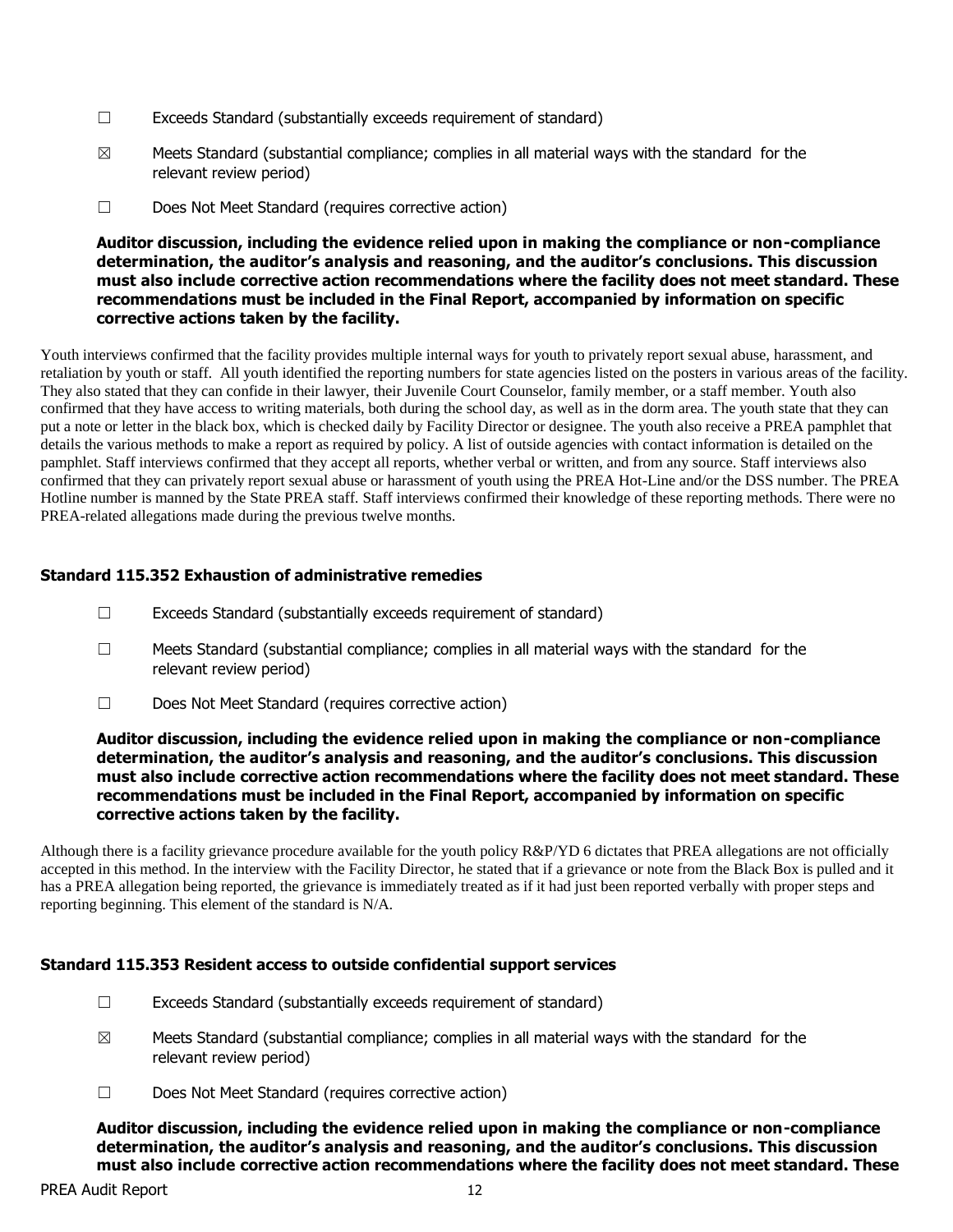- $\Box$  Exceeds Standard (substantially exceeds requirement of standard)
- $\boxtimes$  Meets Standard (substantial compliance; complies in all material ways with the standard for the relevant review period)
- ☐ Does Not Meet Standard (requires corrective action)

Youth interviews confirmed that the facility provides multiple internal ways for youth to privately report sexual abuse, harassment, and retaliation by youth or staff. All youth identified the reporting numbers for state agencies listed on the posters in various areas of the facility. They also stated that they can confide in their lawyer, their Juvenile Court Counselor, family member, or a staff member. Youth also confirmed that they have access to writing materials, both during the school day, as well as in the dorm area. The youth state that they can put a note or letter in the black box, which is checked daily by Facility Director or designee. The youth also receive a PREA pamphlet that details the various methods to make a report as required by policy. A list of outside agencies with contact information is detailed on the pamphlet. Staff interviews confirmed that they accept all reports, whether verbal or written, and from any source. Staff interviews also confirmed that they can privately report sexual abuse or harassment of youth using the PREA Hot-Line and/or the DSS number. The PREA Hotline number is manned by the State PREA staff. Staff interviews confirmed their knowledge of these reporting methods. There were no PREA-related allegations made during the previous twelve months.

# **Standard 115.352 Exhaustion of administrative remedies**

- $\Box$  Exceeds Standard (substantially exceeds requirement of standard)
- $\Box$  Meets Standard (substantial compliance; complies in all material ways with the standard for the relevant review period)
- ☐ Does Not Meet Standard (requires corrective action)

#### **Auditor discussion, including the evidence relied upon in making the compliance or non-compliance determination, the auditor's analysis and reasoning, and the auditor's conclusions. This discussion must also include corrective action recommendations where the facility does not meet standard. These recommendations must be included in the Final Report, accompanied by information on specific corrective actions taken by the facility.**

Although there is a facility grievance procedure available for the youth policy R&P/YD 6 dictates that PREA allegations are not officially accepted in this method. In the interview with the Facility Director, he stated that if a grievance or note from the Black Box is pulled and it has a PREA allegation being reported, the grievance is immediately treated as if it had just been reported verbally with proper steps and reporting beginning. This element of the standard is N/A.

# **Standard 115.353 Resident access to outside confidential support services**

- ☐ Exceeds Standard (substantially exceeds requirement of standard)
- $\boxtimes$  Meets Standard (substantial compliance; complies in all material ways with the standard for the relevant review period)
- ☐ Does Not Meet Standard (requires corrective action)

**Auditor discussion, including the evidence relied upon in making the compliance or non-compliance determination, the auditor's analysis and reasoning, and the auditor's conclusions. This discussion must also include corrective action recommendations where the facility does not meet standard. These**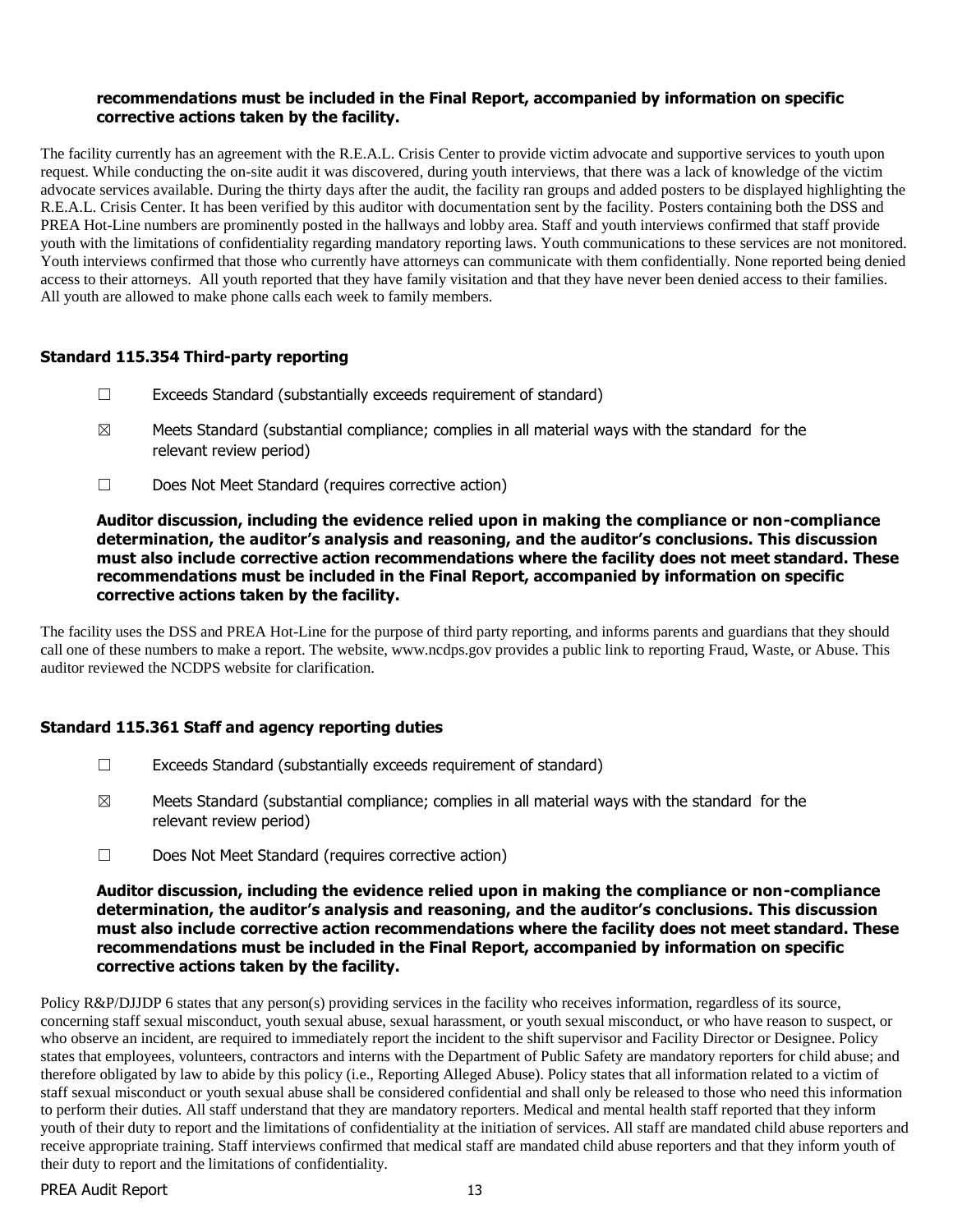#### **recommendations must be included in the Final Report, accompanied by information on specific corrective actions taken by the facility.**

The facility currently has an agreement with the R.E.A.L. Crisis Center to provide victim advocate and supportive services to youth upon request. While conducting the on-site audit it was discovered, during youth interviews, that there was a lack of knowledge of the victim advocate services available. During the thirty days after the audit, the facility ran groups and added posters to be displayed highlighting the R.E.A.L. Crisis Center. It has been verified by this auditor with documentation sent by the facility. Posters containing both the DSS and PREA Hot-Line numbers are prominently posted in the hallways and lobby area. Staff and youth interviews confirmed that staff provide youth with the limitations of confidentiality regarding mandatory reporting laws. Youth communications to these services are not monitored. Youth interviews confirmed that those who currently have attorneys can communicate with them confidentially. None reported being denied access to their attorneys. All youth reported that they have family visitation and that they have never been denied access to their families. All youth are allowed to make phone calls each week to family members.

# **Standard 115.354 Third-party reporting**

- $\Box$  Exceeds Standard (substantially exceeds requirement of standard)
- $\boxtimes$  Meets Standard (substantial compliance; complies in all material ways with the standard for the relevant review period)
- ☐ Does Not Meet Standard (requires corrective action)

#### **Auditor discussion, including the evidence relied upon in making the compliance or non-compliance determination, the auditor's analysis and reasoning, and the auditor's conclusions. This discussion must also include corrective action recommendations where the facility does not meet standard. These recommendations must be included in the Final Report, accompanied by information on specific corrective actions taken by the facility.**

The facility uses the DSS and PREA Hot-Line for the purpose of third party reporting, and informs parents and guardians that they should call one of these numbers to make a report. The website, www.ncdps.gov provides a public link to reporting Fraud, Waste, or Abuse. This auditor reviewed the NCDPS website for clarification.

# **Standard 115.361 Staff and agency reporting duties**

- $\Box$  Exceeds Standard (substantially exceeds requirement of standard)
- $\boxtimes$  Meets Standard (substantial compliance; complies in all material ways with the standard for the relevant review period)
- ☐ Does Not Meet Standard (requires corrective action)

#### **Auditor discussion, including the evidence relied upon in making the compliance or non-compliance determination, the auditor's analysis and reasoning, and the auditor's conclusions. This discussion must also include corrective action recommendations where the facility does not meet standard. These recommendations must be included in the Final Report, accompanied by information on specific corrective actions taken by the facility.**

Policy R&P/DJJDP 6 states that any person(s) providing services in the facility who receives information, regardless of its source, concerning staff sexual misconduct, youth sexual abuse, sexual harassment, or youth sexual misconduct, or who have reason to suspect, or who observe an incident, are required to immediately report the incident to the shift supervisor and Facility Director or Designee. Policy states that employees, volunteers, contractors and interns with the Department of Public Safety are mandatory reporters for child abuse; and therefore obligated by law to abide by this policy (i.e., Reporting Alleged Abuse). Policy states that all information related to a victim of staff sexual misconduct or youth sexual abuse shall be considered confidential and shall only be released to those who need this information to perform their duties. All staff understand that they are mandatory reporters. Medical and mental health staff reported that they inform youth of their duty to report and the limitations of confidentiality at the initiation of services. All staff are mandated child abuse reporters and receive appropriate training. Staff interviews confirmed that medical staff are mandated child abuse reporters and that they inform youth of their duty to report and the limitations of confidentiality.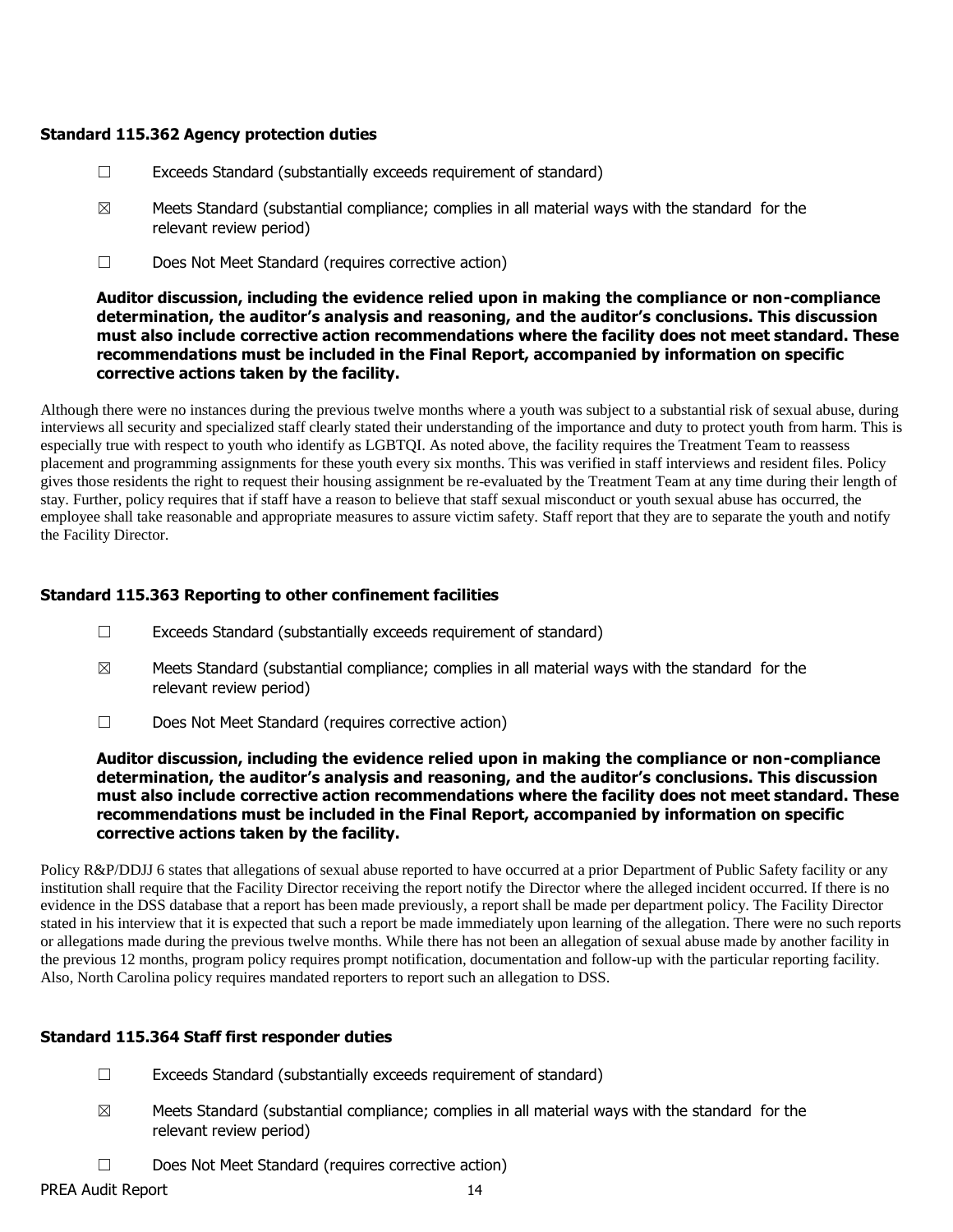#### **Standard 115.362 Agency protection duties**

- $\Box$  Exceeds Standard (substantially exceeds requirement of standard)
- $\boxtimes$  Meets Standard (substantial compliance; complies in all material ways with the standard for the relevant review period)
- ☐ Does Not Meet Standard (requires corrective action)

## **Auditor discussion, including the evidence relied upon in making the compliance or non-compliance determination, the auditor's analysis and reasoning, and the auditor's conclusions. This discussion must also include corrective action recommendations where the facility does not meet standard. These recommendations must be included in the Final Report, accompanied by information on specific corrective actions taken by the facility.**

Although there were no instances during the previous twelve months where a youth was subject to a substantial risk of sexual abuse, during interviews all security and specialized staff clearly stated their understanding of the importance and duty to protect youth from harm. This is especially true with respect to youth who identify as LGBTQI. As noted above, the facility requires the Treatment Team to reassess placement and programming assignments for these youth every six months. This was verified in staff interviews and resident files. Policy gives those residents the right to request their housing assignment be re-evaluated by the Treatment Team at any time during their length of stay. Further, policy requires that if staff have a reason to believe that staff sexual misconduct or youth sexual abuse has occurred, the employee shall take reasonable and appropriate measures to assure victim safety. Staff report that they are to separate the youth and notify the Facility Director.

# **Standard 115.363 Reporting to other confinement facilities**

- $\Box$  Exceeds Standard (substantially exceeds requirement of standard)
- $\boxtimes$  Meets Standard (substantial compliance; complies in all material ways with the standard for the relevant review period)
- ☐ Does Not Meet Standard (requires corrective action)

#### **Auditor discussion, including the evidence relied upon in making the compliance or non-compliance determination, the auditor's analysis and reasoning, and the auditor's conclusions. This discussion must also include corrective action recommendations where the facility does not meet standard. These recommendations must be included in the Final Report, accompanied by information on specific corrective actions taken by the facility.**

Policy R&P/DDJJ 6 states that allegations of sexual abuse reported to have occurred at a prior Department of Public Safety facility or any institution shall require that the Facility Director receiving the report notify the Director where the alleged incident occurred. If there is no evidence in the DSS database that a report has been made previously, a report shall be made per department policy. The Facility Director stated in his interview that it is expected that such a report be made immediately upon learning of the allegation. There were no such reports or allegations made during the previous twelve months. While there has not been an allegation of sexual abuse made by another facility in the previous 12 months, program policy requires prompt notification, documentation and follow-up with the particular reporting facility. Also, North Carolina policy requires mandated reporters to report such an allegation to DSS.

# **Standard 115.364 Staff first responder duties**

- ☐ Exceeds Standard (substantially exceeds requirement of standard)
- $\boxtimes$  Meets Standard (substantial compliance; complies in all material ways with the standard for the relevant review period)
- ☐ Does Not Meet Standard (requires corrective action)

PREA Audit Report 14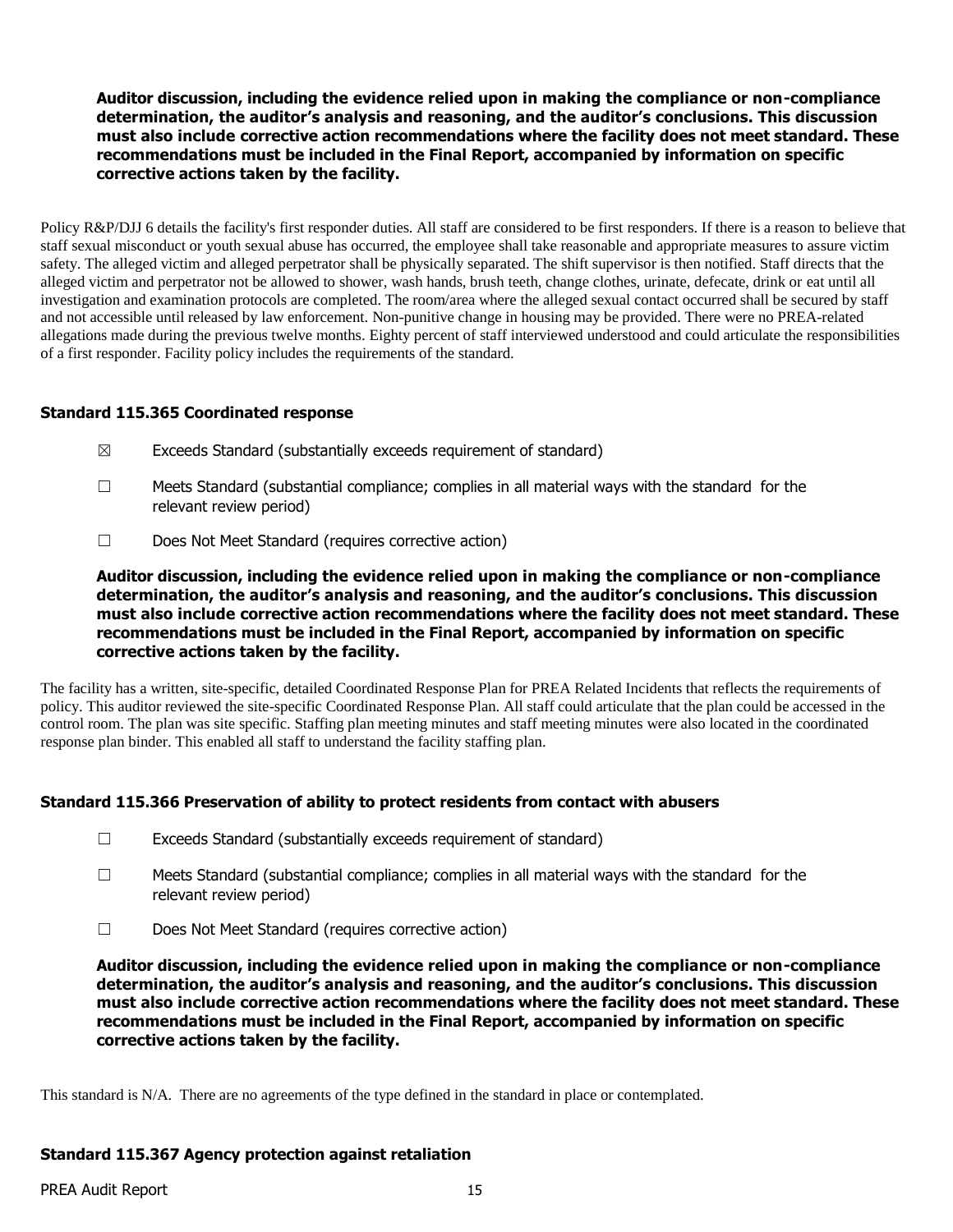Policy R&P/DJJ 6 details the facility's first responder duties. All staff are considered to be first responders. If there is a reason to believe that staff sexual misconduct or youth sexual abuse has occurred, the employee shall take reasonable and appropriate measures to assure victim safety. The alleged victim and alleged perpetrator shall be physically separated. The shift supervisor is then notified. Staff directs that the alleged victim and perpetrator not be allowed to shower, wash hands, brush teeth, change clothes, urinate, defecate, drink or eat until all investigation and examination protocols are completed. The room/area where the alleged sexual contact occurred shall be secured by staff and not accessible until released by law enforcement. Non-punitive change in housing may be provided. There were no PREA-related allegations made during the previous twelve months. Eighty percent of staff interviewed understood and could articulate the responsibilities of a first responder. Facility policy includes the requirements of the standard.

#### **Standard 115.365 Coordinated response**

- $\boxtimes$  Exceeds Standard (substantially exceeds requirement of standard)
- ☐ Meets Standard (substantial compliance; complies in all material ways with the standard for the relevant review period)
- ☐ Does Not Meet Standard (requires corrective action)

**Auditor discussion, including the evidence relied upon in making the compliance or non-compliance determination, the auditor's analysis and reasoning, and the auditor's conclusions. This discussion must also include corrective action recommendations where the facility does not meet standard. These recommendations must be included in the Final Report, accompanied by information on specific corrective actions taken by the facility.**

The facility has a written, site-specific, detailed Coordinated Response Plan for PREA Related Incidents that reflects the requirements of policy. This auditor reviewed the site-specific Coordinated Response Plan. All staff could articulate that the plan could be accessed in the control room. The plan was site specific. Staffing plan meeting minutes and staff meeting minutes were also located in the coordinated response plan binder. This enabled all staff to understand the facility staffing plan.

# **Standard 115.366 Preservation of ability to protect residents from contact with abusers**

- ☐ Exceeds Standard (substantially exceeds requirement of standard)
- $\Box$  Meets Standard (substantial compliance; complies in all material ways with the standard for the relevant review period)
- ☐ Does Not Meet Standard (requires corrective action)

**Auditor discussion, including the evidence relied upon in making the compliance or non-compliance determination, the auditor's analysis and reasoning, and the auditor's conclusions. This discussion must also include corrective action recommendations where the facility does not meet standard. These recommendations must be included in the Final Report, accompanied by information on specific corrective actions taken by the facility.**

This standard is N/A. There are no agreements of the type defined in the standard in place or contemplated.

# **Standard 115.367 Agency protection against retaliation**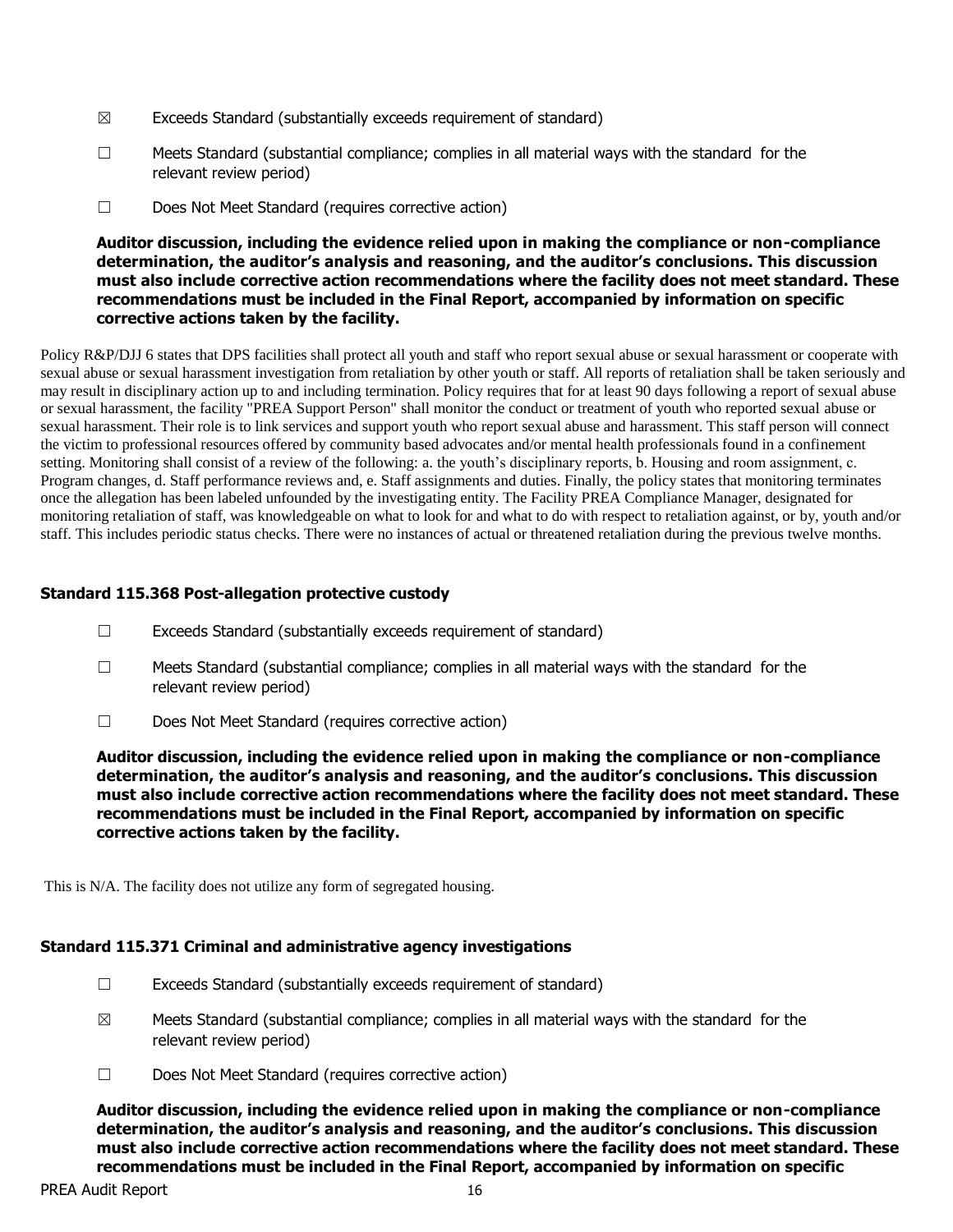- $\boxtimes$  Exceeds Standard (substantially exceeds requirement of standard)
- ☐ Meets Standard (substantial compliance; complies in all material ways with the standard for the relevant review period)
- ☐ Does Not Meet Standard (requires corrective action)

Policy R&P/DJJ 6 states that DPS facilities shall protect all youth and staff who report sexual abuse or sexual harassment or cooperate with sexual abuse or sexual harassment investigation from retaliation by other youth or staff. All reports of retaliation shall be taken seriously and may result in disciplinary action up to and including termination. Policy requires that for at least 90 days following a report of sexual abuse or sexual harassment, the facility "PREA Support Person" shall monitor the conduct or treatment of youth who reported sexual abuse or sexual harassment. Their role is to link services and support youth who report sexual abuse and harassment. This staff person will connect the victim to professional resources offered by community based advocates and/or mental health professionals found in a confinement setting. Monitoring shall consist of a review of the following: a. the youth's disciplinary reports, b. Housing and room assignment, c. Program changes, d. Staff performance reviews and, e. Staff assignments and duties. Finally, the policy states that monitoring terminates once the allegation has been labeled unfounded by the investigating entity. The Facility PREA Compliance Manager, designated for monitoring retaliation of staff, was knowledgeable on what to look for and what to do with respect to retaliation against, or by, youth and/or staff. This includes periodic status checks. There were no instances of actual or threatened retaliation during the previous twelve months.

# **Standard 115.368 Post-allegation protective custody**

- ☐ Exceeds Standard (substantially exceeds requirement of standard)
- ☐ Meets Standard (substantial compliance; complies in all material ways with the standard for the relevant review period)
- ☐ Does Not Meet Standard (requires corrective action)

**Auditor discussion, including the evidence relied upon in making the compliance or non-compliance determination, the auditor's analysis and reasoning, and the auditor's conclusions. This discussion must also include corrective action recommendations where the facility does not meet standard. These recommendations must be included in the Final Report, accompanied by information on specific corrective actions taken by the facility.**

This is N/A. The facility does not utilize any form of segregated housing.

# **Standard 115.371 Criminal and administrative agency investigations**

- ☐ Exceeds Standard (substantially exceeds requirement of standard)
- $\boxtimes$  Meets Standard (substantial compliance; complies in all material ways with the standard for the relevant review period)
- ☐ Does Not Meet Standard (requires corrective action)

**Auditor discussion, including the evidence relied upon in making the compliance or non-compliance determination, the auditor's analysis and reasoning, and the auditor's conclusions. This discussion must also include corrective action recommendations where the facility does not meet standard. These recommendations must be included in the Final Report, accompanied by information on specific**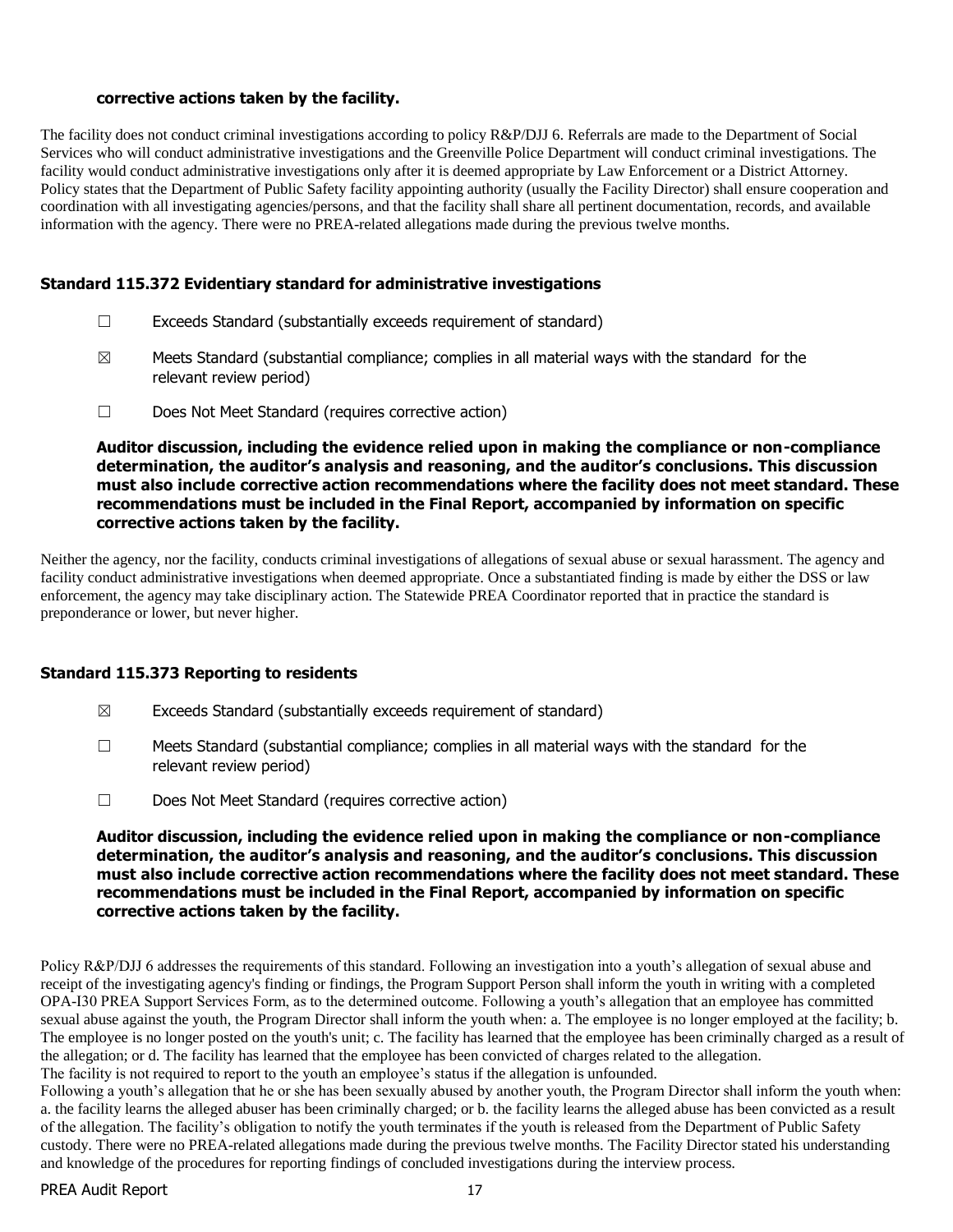#### **corrective actions taken by the facility.**

The facility does not conduct criminal investigations according to policy R&P/DJJ 6. Referrals are made to the Department of Social Services who will conduct administrative investigations and the Greenville Police Department will conduct criminal investigations. The facility would conduct administrative investigations only after it is deemed appropriate by Law Enforcement or a District Attorney. Policy states that the Department of Public Safety facility appointing authority (usually the Facility Director) shall ensure cooperation and coordination with all investigating agencies/persons, and that the facility shall share all pertinent documentation, records, and available information with the agency. There were no PREA-related allegations made during the previous twelve months.

#### **Standard 115.372 Evidentiary standard for administrative investigations**

- $\Box$  Exceeds Standard (substantially exceeds requirement of standard)
- $\boxtimes$  Meets Standard (substantial compliance; complies in all material ways with the standard for the relevant review period)
- ☐ Does Not Meet Standard (requires corrective action)

**Auditor discussion, including the evidence relied upon in making the compliance or non-compliance determination, the auditor's analysis and reasoning, and the auditor's conclusions. This discussion must also include corrective action recommendations where the facility does not meet standard. These recommendations must be included in the Final Report, accompanied by information on specific corrective actions taken by the facility.**

Neither the agency, nor the facility, conducts criminal investigations of allegations of sexual abuse or sexual harassment. The agency and facility conduct administrative investigations when deemed appropriate. Once a substantiated finding is made by either the DSS or law enforcement, the agency may take disciplinary action. The Statewide PREA Coordinator reported that in practice the standard is preponderance or lower, but never higher.

#### **Standard 115.373 Reporting to residents**

- $\boxtimes$  Exceeds Standard (substantially exceeds requirement of standard)
- $\Box$  Meets Standard (substantial compliance; complies in all material ways with the standard for the relevant review period)
- ☐ Does Not Meet Standard (requires corrective action)

**Auditor discussion, including the evidence relied upon in making the compliance or non-compliance determination, the auditor's analysis and reasoning, and the auditor's conclusions. This discussion must also include corrective action recommendations where the facility does not meet standard. These recommendations must be included in the Final Report, accompanied by information on specific corrective actions taken by the facility.**

Policy R&P/DJJ 6 addresses the requirements of this standard. Following an investigation into a youth's allegation of sexual abuse and receipt of the investigating agency's finding or findings, the Program Support Person shall inform the youth in writing with a completed OPA-I30 PREA Support Services Form, as to the determined outcome. Following a youth's allegation that an employee has committed sexual abuse against the youth, the Program Director shall inform the youth when: a. The employee is no longer employed at the facility; b. The employee is no longer posted on the youth's unit; c. The facility has learned that the employee has been criminally charged as a result of the allegation; or d. The facility has learned that the employee has been convicted of charges related to the allegation. The facility is not required to report to the youth an employee's status if the allegation is unfounded.

Following a youth's allegation that he or she has been sexually abused by another youth, the Program Director shall inform the youth when: a. the facility learns the alleged abuser has been criminally charged; or b. the facility learns the alleged abuse has been convicted as a result of the allegation. The facility's obligation to notify the youth terminates if the youth is released from the Department of Public Safety custody. There were no PREA-related allegations made during the previous twelve months. The Facility Director stated his understanding and knowledge of the procedures for reporting findings of concluded investigations during the interview process.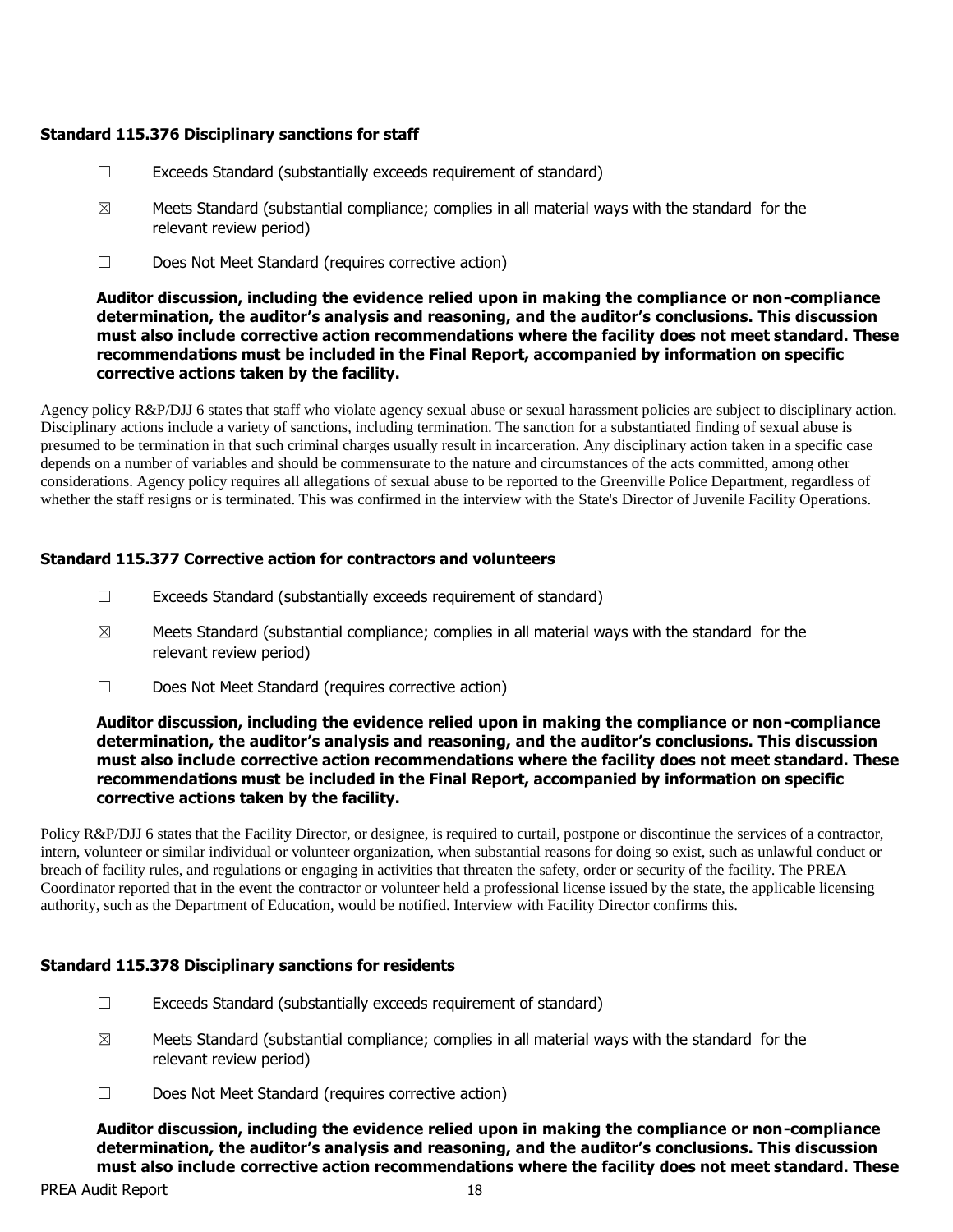#### **Standard 115.376 Disciplinary sanctions for staff**

- $\Box$  Exceeds Standard (substantially exceeds requirement of standard)
- $\boxtimes$  Meets Standard (substantial compliance; complies in all material ways with the standard for the relevant review period)
- ☐ Does Not Meet Standard (requires corrective action)

## **Auditor discussion, including the evidence relied upon in making the compliance or non-compliance determination, the auditor's analysis and reasoning, and the auditor's conclusions. This discussion must also include corrective action recommendations where the facility does not meet standard. These recommendations must be included in the Final Report, accompanied by information on specific corrective actions taken by the facility.**

Agency policy R&P/DJJ 6 states that staff who violate agency sexual abuse or sexual harassment policies are subject to disciplinary action. Disciplinary actions include a variety of sanctions, including termination. The sanction for a substantiated finding of sexual abuse is presumed to be termination in that such criminal charges usually result in incarceration. Any disciplinary action taken in a specific case depends on a number of variables and should be commensurate to the nature and circumstances of the acts committed, among other considerations. Agency policy requires all allegations of sexual abuse to be reported to the Greenville Police Department, regardless of whether the staff resigns or is terminated. This was confirmed in the interview with the State's Director of Juvenile Facility Operations.

# **Standard 115.377 Corrective action for contractors and volunteers**

- ☐ Exceeds Standard (substantially exceeds requirement of standard)
- $\boxtimes$  Meets Standard (substantial compliance; complies in all material ways with the standard for the relevant review period)
- ☐ Does Not Meet Standard (requires corrective action)

#### **Auditor discussion, including the evidence relied upon in making the compliance or non-compliance determination, the auditor's analysis and reasoning, and the auditor's conclusions. This discussion must also include corrective action recommendations where the facility does not meet standard. These recommendations must be included in the Final Report, accompanied by information on specific corrective actions taken by the facility.**

Policy R&P/DJJ 6 states that the Facility Director, or designee, is required to curtail, postpone or discontinue the services of a contractor, intern, volunteer or similar individual or volunteer organization, when substantial reasons for doing so exist, such as unlawful conduct or breach of facility rules, and regulations or engaging in activities that threaten the safety, order or security of the facility. The PREA Coordinator reported that in the event the contractor or volunteer held a professional license issued by the state, the applicable licensing authority, such as the Department of Education, would be notified. Interview with Facility Director confirms this.

# **Standard 115.378 Disciplinary sanctions for residents**

- $\Box$  Exceeds Standard (substantially exceeds requirement of standard)
- $\boxtimes$  Meets Standard (substantial compliance; complies in all material ways with the standard for the relevant review period)
- ☐ Does Not Meet Standard (requires corrective action)

**Auditor discussion, including the evidence relied upon in making the compliance or non-compliance determination, the auditor's analysis and reasoning, and the auditor's conclusions. This discussion must also include corrective action recommendations where the facility does not meet standard. These**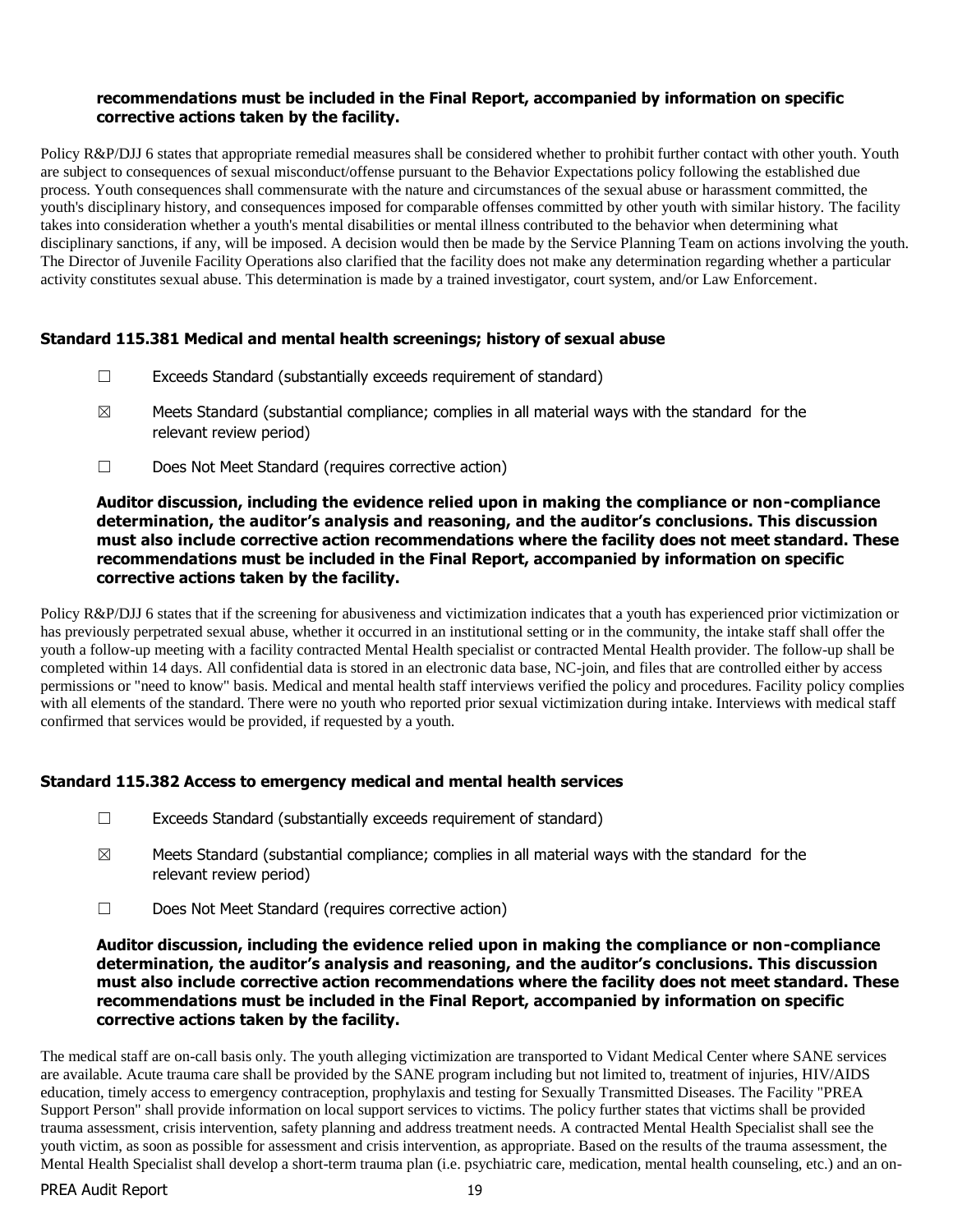#### **recommendations must be included in the Final Report, accompanied by information on specific corrective actions taken by the facility.**

Policy R&P/DJJ 6 states that appropriate remedial measures shall be considered whether to prohibit further contact with other youth. Youth are subject to consequences of sexual misconduct/offense pursuant to the Behavior Expectations policy following the established due process. Youth consequences shall commensurate with the nature and circumstances of the sexual abuse or harassment committed, the youth's disciplinary history, and consequences imposed for comparable offenses committed by other youth with similar history. The facility takes into consideration whether a youth's mental disabilities or mental illness contributed to the behavior when determining what disciplinary sanctions, if any, will be imposed. A decision would then be made by the Service Planning Team on actions involving the youth. The Director of Juvenile Facility Operations also clarified that the facility does not make any determination regarding whether a particular activity constitutes sexual abuse. This determination is made by a trained investigator, court system, and/or Law Enforcement.

# **Standard 115.381 Medical and mental health screenings; history of sexual abuse**

- ☐ Exceeds Standard (substantially exceeds requirement of standard)
- $\boxtimes$  Meets Standard (substantial compliance; complies in all material ways with the standard for the relevant review period)
- ☐ Does Not Meet Standard (requires corrective action)

#### **Auditor discussion, including the evidence relied upon in making the compliance or non-compliance determination, the auditor's analysis and reasoning, and the auditor's conclusions. This discussion must also include corrective action recommendations where the facility does not meet standard. These recommendations must be included in the Final Report, accompanied by information on specific corrective actions taken by the facility.**

Policy R&P/DJJ 6 states that if the screening for abusiveness and victimization indicates that a youth has experienced prior victimization or has previously perpetrated sexual abuse, whether it occurred in an institutional setting or in the community, the intake staff shall offer the youth a follow-up meeting with a facility contracted Mental Health specialist or contracted Mental Health provider. The follow-up shall be completed within 14 days. All confidential data is stored in an electronic data base, NC-join, and files that are controlled either by access permissions or "need to know" basis. Medical and mental health staff interviews verified the policy and procedures. Facility policy complies with all elements of the standard. There were no youth who reported prior sexual victimization during intake. Interviews with medical staff confirmed that services would be provided, if requested by a youth.

# **Standard 115.382 Access to emergency medical and mental health services**

- $\Box$  Exceeds Standard (substantially exceeds requirement of standard)
- $\boxtimes$  Meets Standard (substantial compliance; complies in all material ways with the standard for the relevant review period)
- ☐ Does Not Meet Standard (requires corrective action)

#### **Auditor discussion, including the evidence relied upon in making the compliance or non-compliance determination, the auditor's analysis and reasoning, and the auditor's conclusions. This discussion must also include corrective action recommendations where the facility does not meet standard. These recommendations must be included in the Final Report, accompanied by information on specific corrective actions taken by the facility.**

The medical staff are on-call basis only. The youth alleging victimization are transported to Vidant Medical Center where SANE services are available. Acute trauma care shall be provided by the SANE program including but not limited to, treatment of injuries, HIV/AIDS education, timely access to emergency contraception, prophylaxis and testing for Sexually Transmitted Diseases. The Facility "PREA Support Person" shall provide information on local support services to victims. The policy further states that victims shall be provided trauma assessment, crisis intervention, safety planning and address treatment needs. A contracted Mental Health Specialist shall see the youth victim, as soon as possible for assessment and crisis intervention, as appropriate. Based on the results of the trauma assessment, the Mental Health Specialist shall develop a short-term trauma plan (i.e. psychiatric care, medication, mental health counseling, etc.) and an on-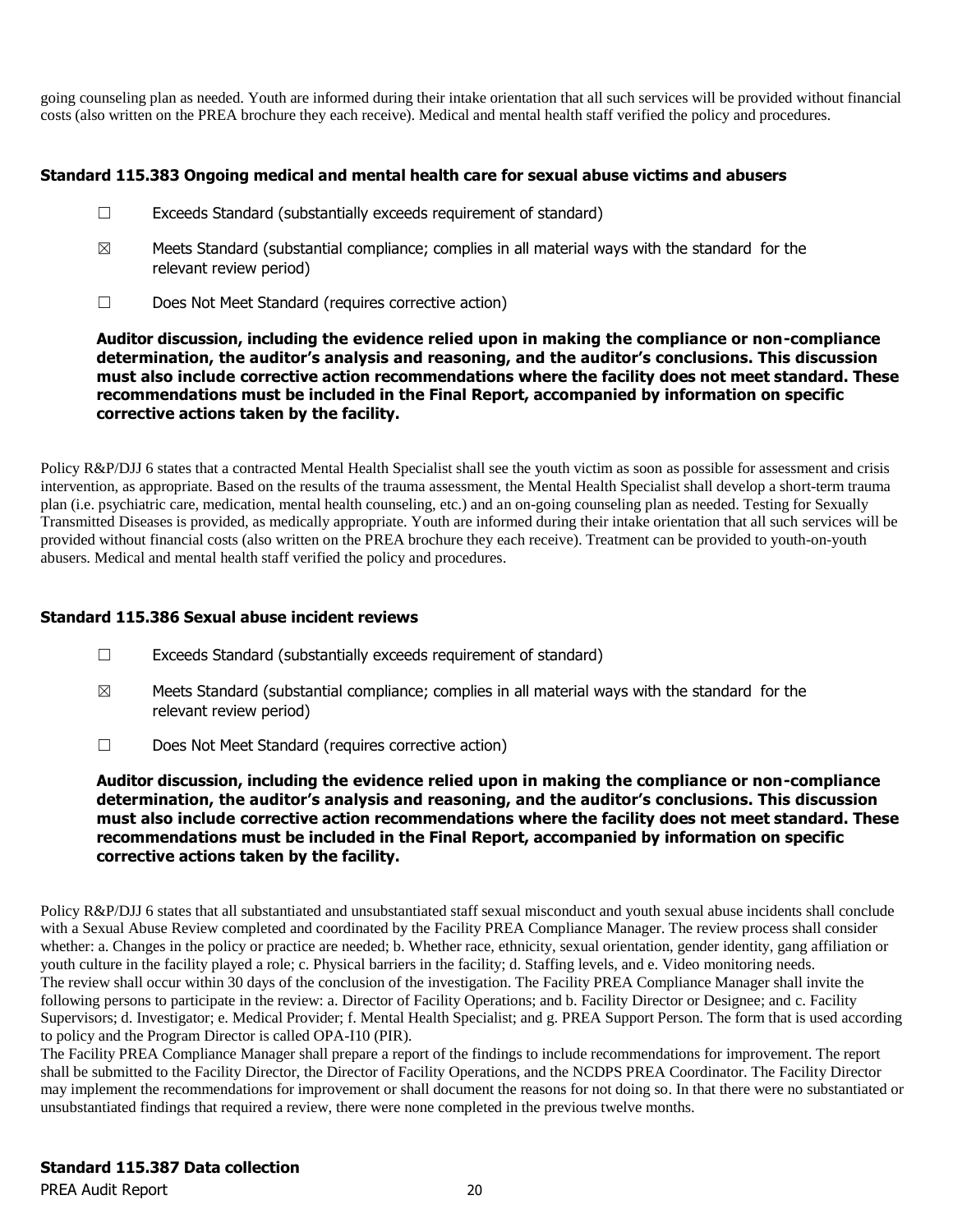going counseling plan as needed. Youth are informed during their intake orientation that all such services will be provided without financial costs (also written on the PREA brochure they each receive). Medical and mental health staff verified the policy and procedures.

# **Standard 115.383 Ongoing medical and mental health care for sexual abuse victims and abusers**

- ☐ Exceeds Standard (substantially exceeds requirement of standard)
- $\boxtimes$  Meets Standard (substantial compliance; complies in all material ways with the standard for the relevant review period)
- ☐ Does Not Meet Standard (requires corrective action)

**Auditor discussion, including the evidence relied upon in making the compliance or non-compliance determination, the auditor's analysis and reasoning, and the auditor's conclusions. This discussion must also include corrective action recommendations where the facility does not meet standard. These recommendations must be included in the Final Report, accompanied by information on specific corrective actions taken by the facility.**

Policy R&P/DJJ 6 states that a contracted Mental Health Specialist shall see the youth victim as soon as possible for assessment and crisis intervention, as appropriate. Based on the results of the trauma assessment, the Mental Health Specialist shall develop a short-term trauma plan (i.e. psychiatric care, medication, mental health counseling, etc.) and an on-going counseling plan as needed. Testing for Sexually Transmitted Diseases is provided, as medically appropriate. Youth are informed during their intake orientation that all such services will be provided without financial costs (also written on the PREA brochure they each receive). Treatment can be provided to youth-on-youth abusers. Medical and mental health staff verified the policy and procedures.

# **Standard 115.386 Sexual abuse incident reviews**

- ☐ Exceeds Standard (substantially exceeds requirement of standard)
- $\boxtimes$  Meets Standard (substantial compliance; complies in all material ways with the standard for the relevant review period)
- ☐ Does Not Meet Standard (requires corrective action)

**Auditor discussion, including the evidence relied upon in making the compliance or non-compliance determination, the auditor's analysis and reasoning, and the auditor's conclusions. This discussion must also include corrective action recommendations where the facility does not meet standard. These recommendations must be included in the Final Report, accompanied by information on specific corrective actions taken by the facility.**

Policy R&P/DJJ 6 states that all substantiated and unsubstantiated staff sexual misconduct and youth sexual abuse incidents shall conclude with a Sexual Abuse Review completed and coordinated by the Facility PREA Compliance Manager. The review process shall consider whether: a. Changes in the policy or practice are needed; b. Whether race, ethnicity, sexual orientation, gender identity, gang affiliation or youth culture in the facility played a role; c. Physical barriers in the facility; d. Staffing levels, and e. Video monitoring needs. The review shall occur within 30 days of the conclusion of the investigation. The Facility PREA Compliance Manager shall invite the following persons to participate in the review: a. Director of Facility Operations; and b. Facility Director or Designee; and c. Facility Supervisors; d. Investigator; e. Medical Provider; f. Mental Health Specialist; and g. PREA Support Person. The form that is used according to policy and the Program Director is called OPA-I10 (PIR).

The Facility PREA Compliance Manager shall prepare a report of the findings to include recommendations for improvement. The report shall be submitted to the Facility Director, the Director of Facility Operations, and the NCDPS PREA Coordinator. The Facility Director may implement the recommendations for improvement or shall document the reasons for not doing so. In that there were no substantiated or unsubstantiated findings that required a review, there were none completed in the previous twelve months.

PREA Audit Report 20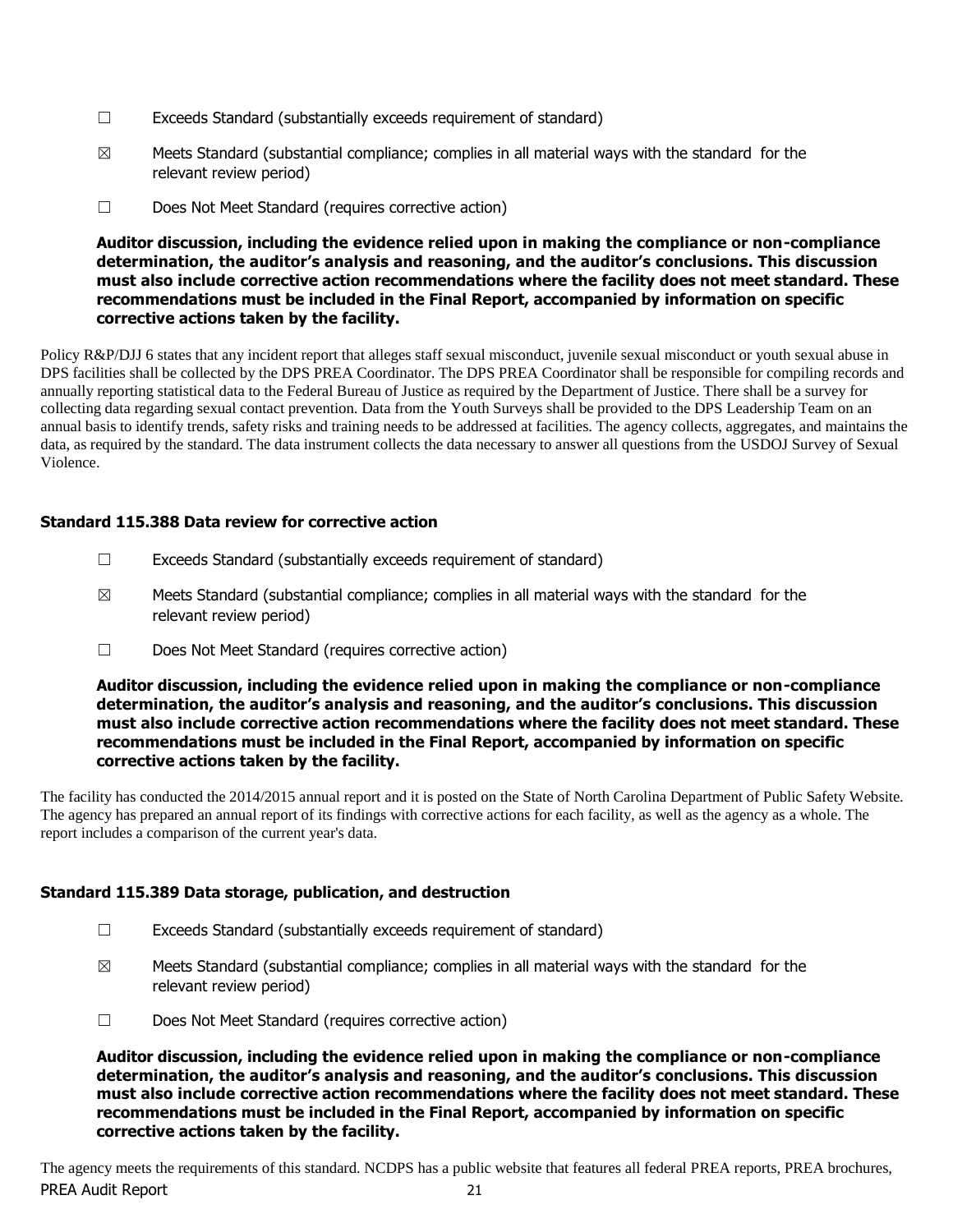- $\Box$  Exceeds Standard (substantially exceeds requirement of standard)
- $\boxtimes$  Meets Standard (substantial compliance; complies in all material ways with the standard for the relevant review period)
- ☐ Does Not Meet Standard (requires corrective action)

Policy R&P/DJJ 6 states that any incident report that alleges staff sexual misconduct, juvenile sexual misconduct or youth sexual abuse in DPS facilities shall be collected by the DPS PREA Coordinator. The DPS PREA Coordinator shall be responsible for compiling records and annually reporting statistical data to the Federal Bureau of Justice as required by the Department of Justice. There shall be a survey for collecting data regarding sexual contact prevention. Data from the Youth Surveys shall be provided to the DPS Leadership Team on an annual basis to identify trends, safety risks and training needs to be addressed at facilities. The agency collects, aggregates, and maintains the data, as required by the standard. The data instrument collects the data necessary to answer all questions from the USDOJ Survey of Sexual Violence.

# **Standard 115.388 Data review for corrective action**

- $\Box$  Exceeds Standard (substantially exceeds requirement of standard)
- $\boxtimes$  Meets Standard (substantial compliance; complies in all material ways with the standard for the relevant review period)
- ☐ Does Not Meet Standard (requires corrective action)

#### **Auditor discussion, including the evidence relied upon in making the compliance or non-compliance determination, the auditor's analysis and reasoning, and the auditor's conclusions. This discussion must also include corrective action recommendations where the facility does not meet standard. These recommendations must be included in the Final Report, accompanied by information on specific corrective actions taken by the facility.**

The facility has conducted the 2014/2015 annual report and it is posted on the State of North Carolina Department of Public Safety Website. The agency has prepared an annual report of its findings with corrective actions for each facility, as well as the agency as a whole. The report includes a comparison of the current year's data.

# **Standard 115.389 Data storage, publication, and destruction**

- $\Box$  Exceeds Standard (substantially exceeds requirement of standard)
- $\boxtimes$  Meets Standard (substantial compliance; complies in all material ways with the standard for the relevant review period)
- ☐ Does Not Meet Standard (requires corrective action)

**Auditor discussion, including the evidence relied upon in making the compliance or non-compliance determination, the auditor's analysis and reasoning, and the auditor's conclusions. This discussion must also include corrective action recommendations where the facility does not meet standard. These recommendations must be included in the Final Report, accompanied by information on specific corrective actions taken by the facility.**